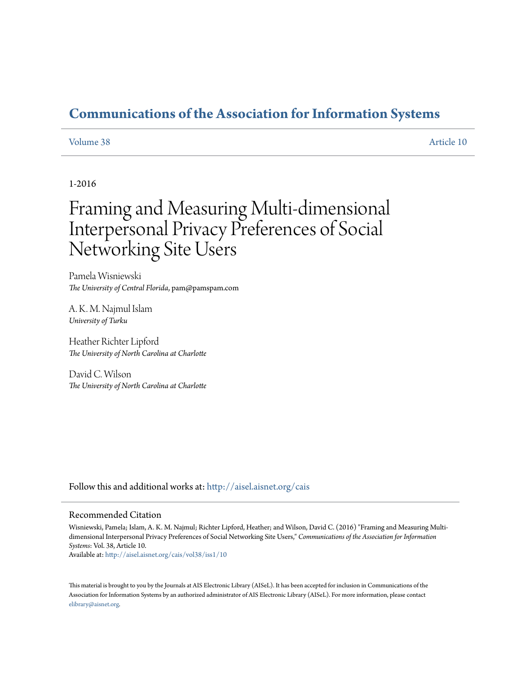# **[Communications of the Association for Information Systems](http://aisel.aisnet.org/cais?utm_source=aisel.aisnet.org%2Fcais%2Fvol38%2Fiss1%2F10&utm_medium=PDF&utm_campaign=PDFCoverPages)**

#### [Volume 38](http://aisel.aisnet.org/cais/vol38?utm_source=aisel.aisnet.org%2Fcais%2Fvol38%2Fiss1%2F10&utm_medium=PDF&utm_campaign=PDFCoverPages) [Article 10](http://aisel.aisnet.org/cais/vol38/iss1/10?utm_source=aisel.aisnet.org%2Fcais%2Fvol38%2Fiss1%2F10&utm_medium=PDF&utm_campaign=PDFCoverPages)

1-2016

# Framing and Measuring Multi-dimensional Interpersonal Privacy Preferences of Social Networking Site Users

Pamela Wisniewski *The University of Central Florida*, pam@pamspam.com

A. K. M. Najmul Islam *University of Turku*

Heather Richter Lipford *The University of North Carolina at Charlotte*

David C. Wilson *The University of North Carolina at Charlotte*

Follow this and additional works at: [http://aisel.aisnet.org/cais](http://aisel.aisnet.org/cais?utm_source=aisel.aisnet.org%2Fcais%2Fvol38%2Fiss1%2F10&utm_medium=PDF&utm_campaign=PDFCoverPages)

#### Recommended Citation

Wisniewski, Pamela; Islam, A. K. M. Najmul; Richter Lipford, Heather; and Wilson, David C. (2016) "Framing and Measuring Multidimensional Interpersonal Privacy Preferences of Social Networking Site Users," *Communications of the Association for Information Systems*: Vol. 38, Article 10.

Available at: [http://aisel.aisnet.org/cais/vol38/iss1/10](http://aisel.aisnet.org/cais/vol38/iss1/10?utm_source=aisel.aisnet.org%2Fcais%2Fvol38%2Fiss1%2F10&utm_medium=PDF&utm_campaign=PDFCoverPages)

This material is brought to you by the Journals at AIS Electronic Library (AISeL). It has been accepted for inclusion in Communications of the Association for Information Systems by an authorized administrator of AIS Electronic Library (AISeL). For more information, please contact [elibrary@aisnet.org.](mailto:elibrary@aisnet.org%3E)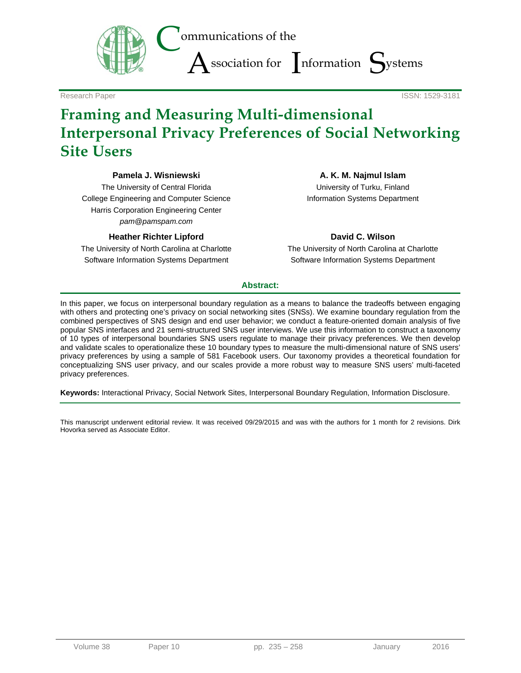

Research Paper **ISSN: 1529-3181** 

# **Framing and Measuring Multi-dimensional Interpersonal Privacy Preferences of Social Networking Site Users**

#### **Pamela J. Wisniewski**

The University of Central Florida College Engineering and Computer Science Harris Corporation Engineering Center *pam@pamspam.com* 

#### **Heather Richter Lipford**

The University of North Carolina at Charlotte Software Information Systems Department

#### **A. K. M. Najmul Islam**

University of Turku, Finland Information Systems Department

 **David C. Wilson**  The University of North Carolina at Charlotte

Software Information Systems Department

#### **Abstract:**

In this paper, we focus on interpersonal boundary regulation as a means to balance the tradeoffs between engaging with others and protecting one's privacy on social networking sites (SNSs). We examine boundary regulation from the combined perspectives of SNS design and end user behavior; we conduct a feature-oriented domain analysis of five popular SNS interfaces and 21 semi-structured SNS user interviews. We use this information to construct a taxonomy of 10 types of interpersonal boundaries SNS users regulate to manage their privacy preferences. We then develop and validate scales to operationalize these 10 boundary types to measure the multi-dimensional nature of SNS users' privacy preferences by using a sample of 581 Facebook users. Our taxonomy provides a theoretical foundation for conceptualizing SNS user privacy, and our scales provide a more robust way to measure SNS users' multi-faceted privacy preferences.

**Keywords:** Interactional Privacy, Social Network Sites, Interpersonal Boundary Regulation, Information Disclosure.

This manuscript underwent editorial review. It was received 09/29/2015 and was with the authors for 1 month for 2 revisions. Dirk Hovorka served as Associate Editor.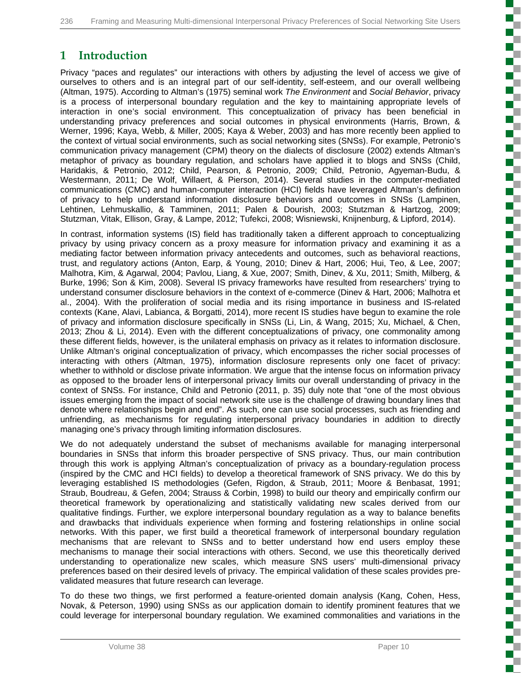# **1 Introduction**

Privacy "paces and regulates" our interactions with others by adjusting the level of access we give of ourselves to others and is an integral part of our self-identity, self-esteem, and our overall wellbeing (Altman, 1975). According to Altman's (1975) seminal work *The Environment* and *Social Behavior*, privacy is a process of interpersonal boundary regulation and the key to maintaining appropriate levels of interaction in one's social environment. This conceptualization of privacy has been beneficial in understanding privacy preferences and social outcomes in physical environments (Harris, Brown, & Werner, 1996; Kaya, Webb, & Miller, 2005; Kaya & Weber, 2003) and has more recently been applied to the context of virtual social environments, such as social networking sites (SNSs). For example, Petronio's communication privacy management (CPM) theory on the dialects of disclosure (2002) extends Altman's metaphor of privacy as boundary regulation, and scholars have applied it to blogs and SNSs (Child, Haridakis, & Petronio, 2012; Child, Pearson, & Petronio, 2009; Child, Petronio, Agyeman-Budu, & Westermann, 2011; De Wolf, Willaert, & Pierson, 2014). Several studies in the computer-mediated communications (CMC) and human-computer interaction (HCI) fields have leveraged Altman's definition of privacy to help understand information disclosure behaviors and outcomes in SNSs (Lampinen, Lehtinen, Lehmuskallio, & Tamminen, 2011; Palen & Dourish, 2003; Stutzman & Hartzog, 2009; Stutzman, Vitak, Ellison, Gray, & Lampe, 2012; Tufekci, 2008; Wisniewski, Knijnenburg, & Lipford, 2014).

In contrast, information systems (IS) field has traditionally taken a different approach to conceptualizing privacy by using privacy concern as a proxy measure for information privacy and examining it as a mediating factor between information privacy antecedents and outcomes, such as behavioral reactions, trust, and regulatory actions (Anton, Earp, & Young, 2010; Dinev & Hart, 2006; Hui, Teo, & Lee, 2007; Malhotra, Kim, & Agarwal, 2004; Pavlou, Liang, & Xue, 2007; Smith, Dinev, & Xu, 2011; Smith, Milberg, & Burke, 1996; Son & Kim, 2008). Several IS privacy frameworks have resulted from researchers' trying to understand consumer disclosure behaviors in the context of e-commerce (Dinev & Hart, 2006; Malhotra et al., 2004). With the proliferation of social media and its rising importance in business and IS-related contexts (Kane, Alavi, Labianca, & Borgatti, 2014), more recent IS studies have begun to examine the role of privacy and information disclosure specifically in SNSs (Li, Lin, & Wang, 2015; Xu, Michael, & Chen, 2013; Zhou & Li, 2014). Even with the different conceptualizations of privacy, one commonality among these different fields, however, is the unilateral emphasis on privacy as it relates to information disclosure. Unlike Altman's original conceptualization of privacy, which encompasses the richer social processes of interacting with others (Altman, 1975), information disclosure represents only one facet of privacy: whether to withhold or disclose private information. We argue that the intense focus on information privacy as opposed to the broader lens of interpersonal privacy limits our overall understanding of privacy in the context of SNSs. For instance, Child and Petronio (2011, p. 35) duly note that "one of the most obvious issues emerging from the impact of social network site use is the challenge of drawing boundary lines that denote where relationships begin and end". As such, one can use social processes, such as friending and unfriending, as mechanisms for regulating interpersonal privacy boundaries in addition to directly managing one's privacy through limiting information disclosures.

We do not adequately understand the subset of mechanisms available for managing interpersonal boundaries in SNSs that inform this broader perspective of SNS privacy. Thus, our main contribution through this work is applying Altman's conceptualization of privacy as a boundary-regulation process (inspired by the CMC and HCI fields) to develop a theoretical framework of SNS privacy. We do this by leveraging established IS methodologies (Gefen, Rigdon, & Straub, 2011; Moore & Benbasat, 1991; Straub, Boudreau, & Gefen, 2004; Strauss & Corbin, 1998) to build our theory and empirically confirm our theoretical framework by operationalizing and statistically validating new scales derived from our qualitative findings. Further, we explore interpersonal boundary regulation as a way to balance benefits and drawbacks that individuals experience when forming and fostering relationships in online social networks. With this paper, we first build a theoretical framework of interpersonal boundary regulation mechanisms that are relevant to SNSs and to better understand how end users employ these mechanisms to manage their social interactions with others. Second, we use this theoretically derived understanding to operationalize new scales, which measure SNS users' multi-dimensional privacy preferences based on their desired levels of privacy. The empirical validation of these scales provides prevalidated measures that future research can leverage.

To do these two things, we first performed a feature-oriented domain analysis (Kang, Cohen, Hess, Novak, & Peterson, 1990) using SNSs as our application domain to identify prominent features that we could leverage for interpersonal boundary regulation. We examined commonalities and variations in the かんかん かんかんかん かんかん

Ş

į

ð

ì

2 ▛

į

i<br>Santa Santa Sa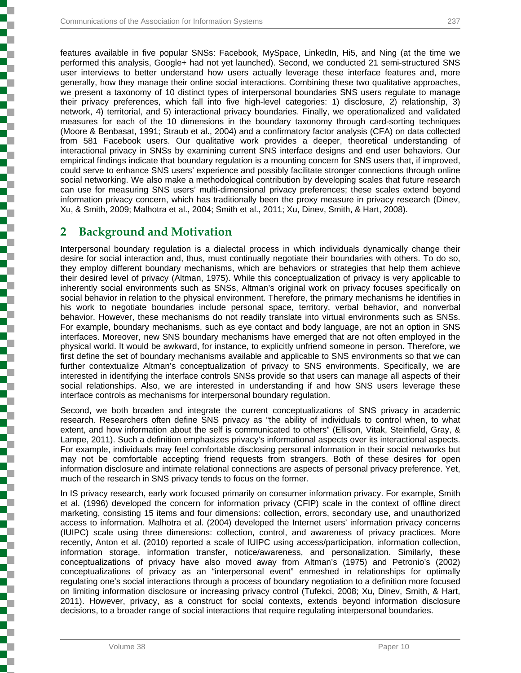features available in five popular SNSs: Facebook, MySpace, LinkedIn, Hi5, and Ning (at the time we performed this analysis, Google+ had not yet launched). Second, we conducted 21 semi-structured SNS user interviews to better understand how users actually leverage these interface features and, more generally, how they manage their online social interactions. Combining these two qualitative approaches, we present a taxonomy of 10 distinct types of interpersonal boundaries SNS users regulate to manage their privacy preferences, which fall into five high-level categories: 1) disclosure, 2) relationship, 3) network, 4) territorial, and 5) interactional privacy boundaries. Finally, we operationalized and validated measures for each of the 10 dimensions in the boundary taxonomy through card-sorting techniques (Moore & Benbasat, 1991; Straub et al., 2004) and a confirmatory factor analysis (CFA) on data collected from 581 Facebook users. Our qualitative work provides a deeper, theoretical understanding of interactional privacy in SNSs by examining current SNS interface designs and end user behaviors. Our empirical findings indicate that boundary regulation is a mounting concern for SNS users that, if improved, could serve to enhance SNS users' experience and possibly facilitate stronger connections through online social networking. We also make a methodological contribution by developing scales that future research can use for measuring SNS users' multi-dimensional privacy preferences; these scales extend beyond information privacy concern, which has traditionally been the proxy measure in privacy research (Dinev, Xu, & Smith, 2009; Malhotra et al., 2004; Smith et al., 2011; Xu, Dinev, Smith, & Hart, 2008).

# **2 Background and Motivation**

Interpersonal boundary regulation is a dialectal process in which individuals dynamically change their desire for social interaction and, thus, must continually negotiate their boundaries with others. To do so, they employ different boundary mechanisms, which are behaviors or strategies that help them achieve their desired level of privacy (Altman, 1975). While this conceptualization of privacy is very applicable to inherently social environments such as SNSs, Altman's original work on privacy focuses specifically on social behavior in relation to the physical environment. Therefore, the primary mechanisms he identifies in his work to negotiate boundaries include personal space, territory, verbal behavior, and nonverbal behavior. However, these mechanisms do not readily translate into virtual environments such as SNSs. For example, boundary mechanisms, such as eye contact and body language, are not an option in SNS interfaces. Moreover, new SNS boundary mechanisms have emerged that are not often employed in the physical world. It would be awkward, for instance, to explicitly unfriend someone in person. Therefore, we first define the set of boundary mechanisms available and applicable to SNS environments so that we can further contextualize Altman's conceptualization of privacy to SNS environments. Specifically, we are interested in identifying the interface controls SNSs provide so that users can manage all aspects of their social relationships. Also, we are interested in understanding if and how SNS users leverage these interface controls as mechanisms for interpersonal boundary regulation.

Second, we both broaden and integrate the current conceptualizations of SNS privacy in academic research. Researchers often define SNS privacy as "the ability of individuals to control when, to what extent, and how information about the self is communicated to others" (Ellison, Vitak, Steinfield, Gray, & Lampe, 2011). Such a definition emphasizes privacy's informational aspects over its interactional aspects. For example, individuals may feel comfortable disclosing personal information in their social networks but may not be comfortable accepting friend requests from strangers. Both of these desires for open information disclosure and intimate relational connections are aspects of personal privacy preference. Yet, much of the research in SNS privacy tends to focus on the former.

In IS privacy research, early work focused primarily on consumer information privacy. For example, Smith et al. (1996) developed the concern for information privacy (CFIP) scale in the context of offline direct marketing, consisting 15 items and four dimensions: collection, errors, secondary use, and unauthorized access to information. Malhotra et al. (2004) developed the Internet users' information privacy concerns (IUIPC) scale using three dimensions: collection, control, and awareness of privacy practices. More recently, Anton et al. (2010) reported a scale of IUIPC using access/participation, information collection, information storage, information transfer, notice/awareness, and personalization. Similarly, these conceptualizations of privacy have also moved away from Altman's (1975) and Petronio's (2002) conceptualizations of privacy as an "interpersonal event" enmeshed in relationships for optimally regulating one's social interactions through a process of boundary negotiation to a definition more focused on limiting information disclosure or increasing privacy control (Tufekci, 2008; Xu, Dinev, Smith, & Hart, 2011). However, privacy, as a construct for social contexts, extends beyond information disclosure decisions, to a broader range of social interactions that require regulating interpersonal boundaries.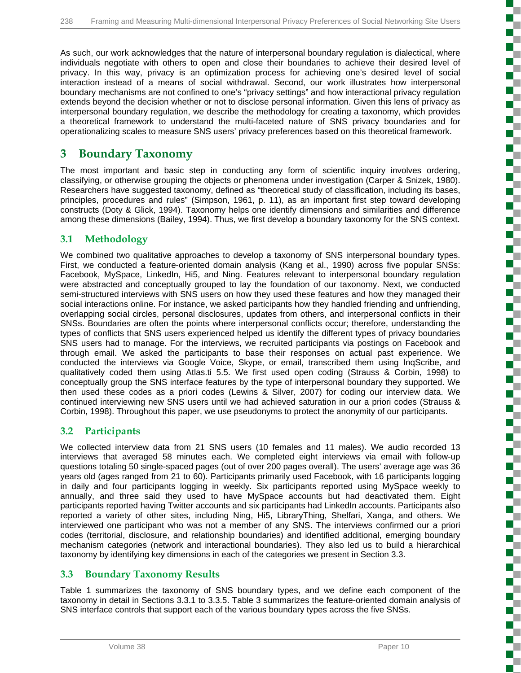As such, our work acknowledges that the nature of interpersonal boundary regulation is dialectical, where individuals negotiate with others to open and close their boundaries to achieve their desired level of privacy. In this way, privacy is an optimization process for achieving one's desired level of social interaction instead of a means of social withdrawal. Second, our work illustrates how interpersonal boundary mechanisms are not confined to one's "privacy settings" and how interactional privacy regulation extends beyond the decision whether or not to disclose personal information. Given this lens of privacy as interpersonal boundary regulation, we describe the methodology for creating a taxonomy, which provides a theoretical framework to understand the multi-faceted nature of SNS privacy boundaries and for operationalizing scales to measure SNS users' privacy preferences based on this theoretical framework.

# **3 Boundary Taxonomy**

The most important and basic step in conducting any form of scientific inquiry involves ordering, classifying, or otherwise grouping the objects or phenomena under investigation (Carper & Snizek, 1980). Researchers have suggested taxonomy, defined as "theoretical study of classification, including its bases, principles, procedures and rules" (Simpson, 1961, p. 11), as an important first step toward developing constructs (Doty & Glick, 1994). Taxonomy helps one identify dimensions and similarities and difference among these dimensions (Bailey, 1994). Thus, we first develop a boundary taxonomy for the SNS context.

## **3.1 Methodology**

We combined two qualitative approaches to develop a taxonomy of SNS interpersonal boundary types. First, we conducted a feature-oriented domain analysis (Kang et al., 1990) across five popular SNSs: Facebook, MySpace, LinkedIn, Hi5, and Ning. Features relevant to interpersonal boundary regulation were abstracted and conceptually grouped to lay the foundation of our taxonomy. Next, we conducted semi-structured interviews with SNS users on how they used these features and how they managed their social interactions online. For instance, we asked participants how they handled friending and unfriending, overlapping social circles, personal disclosures, updates from others, and interpersonal conflicts in their SNSs. Boundaries are often the points where interpersonal conflicts occur; therefore, understanding the types of conflicts that SNS users experienced helped us identify the different types of privacy boundaries SNS users had to manage. For the interviews, we recruited participants via postings on Facebook and through email. We asked the participants to base their responses on actual past experience. We conducted the interviews via Google Voice, Skype, or email, transcribed them using InqScribe, and qualitatively coded them using Atlas.ti 5.5. We first used open coding (Strauss & Corbin, 1998) to conceptually group the SNS interface features by the type of interpersonal boundary they supported. We then used these codes as a priori codes (Lewins & Silver, 2007) for coding our interview data. We continued interviewing new SNS users until we had achieved saturation in our a priori codes (Strauss & Corbin, 1998). Throughout this paper, we use pseudonyms to protect the anonymity of our participants.

## **3.2 Participants**

We collected interview data from 21 SNS users (10 females and 11 males). We audio recorded 13 interviews that averaged 58 minutes each. We completed eight interviews via email with follow-up questions totaling 50 single-spaced pages (out of over 200 pages overall). The users' average age was 36 years old (ages ranged from 21 to 60). Participants primarily used Facebook, with 16 participants logging in daily and four participants logging in weekly. Six participants reported using MySpace weekly to annually, and three said they used to have MySpace accounts but had deactivated them. Eight participants reported having Twitter accounts and six participants had LinkedIn accounts. Participants also reported a variety of other sites, including Ning, Hi5, LibraryThing, Shelfari, Xanga, and others. We interviewed one participant who was not a member of any SNS. The interviews confirmed our a priori codes (territorial, disclosure, and relationship boundaries) and identified additional, emerging boundary mechanism categories (network and interactional boundaries). They also led us to build a hierarchical taxonomy by identifying key dimensions in each of the categories we present in Section 3.3.

## **3.3 Boundary Taxonomy Results**

Table 1 summarizes the taxonomy of SNS boundary types, and we define each component of the taxonomy in detail in Sections 3.3.1 to 3.3.5. Table 3 summarizes the feature-oriented domain analysis of SNS interface controls that support each of the various boundary types across the five SNSs.

かんかん かんかん かんかんかん

i

かんかん かんかんかん かんかんかん かんかんかん

in a company of the company of the company of the company of the company of the company of the company of the company of the company of the company of the company of the company of the company of the company of the company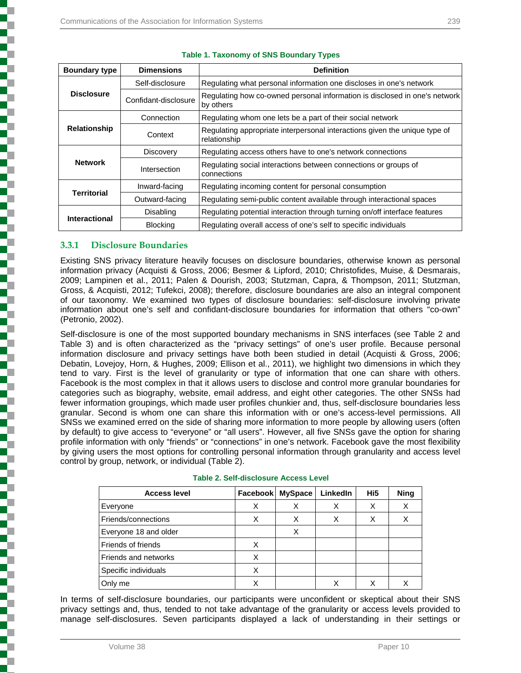| <b>Boundary type</b> | <b>Dimensions</b>    | <b>Definition</b>                                                                          |
|----------------------|----------------------|--------------------------------------------------------------------------------------------|
|                      | Self-disclosure      | Regulating what personal information one discloses in one's network                        |
| <b>Disclosure</b>    | Confidant-disclosure | Regulating how co-owned personal information is disclosed in one's network<br>by others    |
|                      | Connection           | Regulating whom one lets be a part of their social network                                 |
| <b>Relationship</b>  | Context              | Regulating appropriate interpersonal interactions given the unique type of<br>relationship |
|                      | Discovery            | Regulating access others have to one's network connections                                 |
| <b>Network</b>       | Intersection         | Regulating social interactions between connections or groups of<br>connections             |
|                      | Inward-facing        | Regulating incoming content for personal consumption                                       |
| <b>Territorial</b>   | Outward-facing       | Regulating semi-public content available through interactional spaces                      |
|                      | Disabling            | Regulating potential interaction through turning on/off interface features                 |
| <b>Interactional</b> | <b>Blocking</b>      | Regulating overall access of one's self to specific individuals                            |

#### **Table 1. Taxonomy of SNS Boundary Types**

### **3.3.1 Disclosure Boundaries**

Existing SNS privacy literature heavily focuses on disclosure boundaries, otherwise known as personal information privacy (Acquisti & Gross, 2006; Besmer & Lipford, 2010; Christofides, Muise, & Desmarais, 2009; Lampinen et al., 2011; Palen & Dourish, 2003; Stutzman, Capra, & Thompson, 2011; Stutzman, Gross, & Acquisti, 2012; Tufekci, 2008); therefore, disclosure boundaries are also an integral component of our taxonomy. We examined two types of disclosure boundaries: self-disclosure involving private information about one's self and confidant-disclosure boundaries for information that others "co-own" (Petronio, 2002).

Self-disclosure is one of the most supported boundary mechanisms in SNS interfaces (see Table 2 and Table 3) and is often characterized as the "privacy settings" of one's user profile. Because personal information disclosure and privacy settings have both been studied in detail (Acquisti & Gross, 2006; Debatin, Lovejoy, Horn, & Hughes, 2009; Ellison et al., 2011), we highlight two dimensions in which they tend to vary. First is the level of granularity or type of information that one can share with others. Facebook is the most complex in that it allows users to disclose and control more granular boundaries for categories such as biography, website, email address, and eight other categories. The other SNSs had fewer information groupings, which made user profiles chunkier and, thus, self-disclosure boundaries less granular. Second is whom one can share this information with or one's access-level permissions. All SNSs we examined erred on the side of sharing more information to more people by allowing users (often by default) to give access to "everyone" or "all users". However, all five SNSs gave the option for sharing profile information with only "friends" or "connections" in one's network. Facebook gave the most flexibility by giving users the most options for controlling personal information through granularity and access level control by group, network, or individual (Table 2).

| <b>Access level</b>   | Facebook | <b>MySpace</b> | LinkedIn | Hi <sub>5</sub> | <b>Ning</b> |
|-----------------------|----------|----------------|----------|-----------------|-------------|
| Everyone              | х        | x              | X        | х               |             |
| Friends/connections   | х        | X              | х        | х               |             |
| Everyone 18 and older |          | х              |          |                 |             |
| Friends of friends    | Х        |                |          |                 |             |
| Friends and networks  | X        |                |          |                 |             |
| Specific individuals  | X        |                |          |                 |             |
| Only me               | Χ        |                |          |                 |             |

In terms of self-disclosure boundaries, our participants were unconfident or skeptical about their SNS privacy settings and, thus, tended to not take advantage of the granularity or access levels provided to manage self-disclosures. Seven participants displayed a lack of understanding in their settings or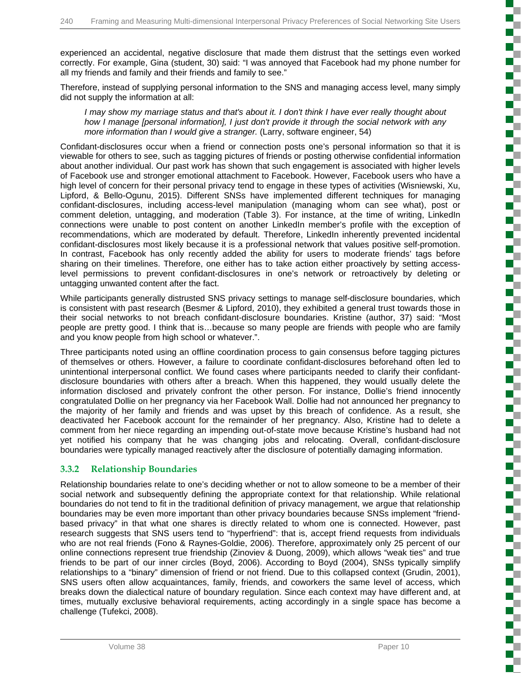experienced an accidental, negative disclosure that made them distrust that the settings even worked correctly. For example, Gina (student, 30) said: "I was annoyed that Facebook had my phone number for all my friends and family and their friends and family to see."

Therefore, instead of supplying personal information to the SNS and managing access level, many simply did not supply the information at all:

*I may show my marriage status and that's about it. I don't think I have ever really thought about how I manage [personal information], I just don't provide it through the social network with any more information than I would give a stranger.* (Larry, software engineer, 54)

Confidant-disclosures occur when a friend or connection posts one's personal information so that it is viewable for others to see, such as tagging pictures of friends or posting otherwise confidential information about another individual. Our past work has shown that such engagement is associated with higher levels of Facebook use and stronger emotional attachment to Facebook. However, Facebook users who have a high level of concern for their personal privacy tend to engage in these types of activities (Wisniewski, Xu, Lipford, & Bello-Ogunu, 2015). Different SNSs have implemented different techniques for managing confidant-disclosures, including access-level manipulation (managing whom can see what), post or comment deletion, untagging, and moderation (Table 3). For instance, at the time of writing, LinkedIn connections were unable to post content on another LinkedIn member's profile with the exception of recommendations, which are moderated by default. Therefore, LinkedIn inherently prevented incidental confidant-disclosures most likely because it is a professional network that values positive self-promotion. In contrast, Facebook has only recently added the ability for users to moderate friends' tags before sharing on their timelines. Therefore, one either has to take action either proactively by setting accesslevel permissions to prevent confidant-disclosures in one's network or retroactively by deleting or untagging unwanted content after the fact.

While participants generally distrusted SNS privacy settings to manage self-disclosure boundaries, which is consistent with past research (Besmer & Lipford, 2010), they exhibited a general trust towards those in their social networks to not breach confidant-disclosure boundaries. Kristine (author, 37) said: "Most people are pretty good. I think that is…because so many people are friends with people who are family and you know people from high school or whatever.".

Three participants noted using an offline coordination process to gain consensus before tagging pictures of themselves or others. However, a failure to coordinate confidant-disclosures beforehand often led to unintentional interpersonal conflict. We found cases where participants needed to clarify their confidantdisclosure boundaries with others after a breach. When this happened, they would usually delete the information disclosed and privately confront the other person. For instance, Dollie's friend innocently congratulated Dollie on her pregnancy via her Facebook Wall. Dollie had not announced her pregnancy to the majority of her family and friends and was upset by this breach of confidence. As a result, she deactivated her Facebook account for the remainder of her pregnancy. Also, Kristine had to delete a comment from her niece regarding an impending out-of-state move because Kristine's husband had not yet notified his company that he was changing jobs and relocating. Overall, confidant-disclosure boundaries were typically managed reactively after the disclosure of potentially damaging information.

#### **3.3.2 Relationship Boundaries**

Relationship boundaries relate to one's deciding whether or not to allow someone to be a member of their social network and subsequently defining the appropriate context for that relationship. While relational boundaries do not tend to fit in the traditional definition of privacy management, we argue that relationship boundaries may be even more important than other privacy boundaries because SNSs implement "friendbased privacy" in that what one shares is directly related to whom one is connected. However, past research suggests that SNS users tend to "hyperfriend": that is, accept friend requests from individuals who are not real friends (Fono & Raynes-Goldie, 2006). Therefore, approximately only 25 percent of our online connections represent true friendship (Zinoviev & Duong, 2009), which allows "weak ties" and true friends to be part of our inner circles (Boyd, 2006). According to Boyd (2004), SNSs typically simplify relationships to a "binary" dimension of friend or not friend. Due to this collapsed context (Grudin, 2001), SNS users often allow acquaintances, family, friends, and coworkers the same level of access, which breaks down the dialectical nature of boundary regulation. Since each context may have different and, at times, mutually exclusive behavioral requirements, acting accordingly in a single space has become a challenge (Tufekci, 2008).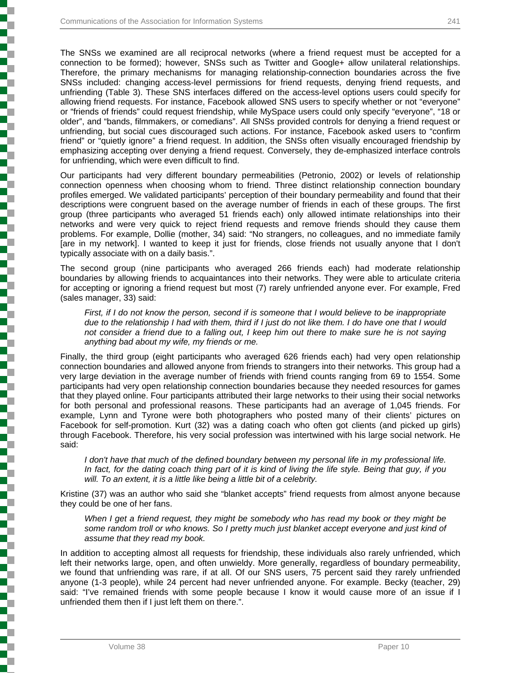The SNSs we examined are all reciprocal networks (where a friend request must be accepted for a connection to be formed); however, SNSs such as Twitter and Google+ allow unilateral relationships. Therefore, the primary mechanisms for managing relationship-connection boundaries across the five SNSs included: changing access-level permissions for friend requests, denying friend requests, and unfriending (Table 3). These SNS interfaces differed on the access-level options users could specify for allowing friend requests. For instance, Facebook allowed SNS users to specify whether or not "everyone" or "friends of friends" could request friendship, while MySpace users could only specify "everyone", "18 or older", and "bands, filmmakers, or comedians". All SNSs provided controls for denying a friend request or unfriending, but social cues discouraged such actions. For instance, Facebook asked users to "confirm friend" or "quietly ignore" a friend request. In addition, the SNSs often visually encouraged friendship by emphasizing accepting over denying a friend request. Conversely, they de-emphasized interface controls for unfriending, which were even difficult to find.

Our participants had very different boundary permeabilities (Petronio, 2002) or levels of relationship connection openness when choosing whom to friend. Three distinct relationship connection boundary profiles emerged. We validated participants' perception of their boundary permeability and found that their descriptions were congruent based on the average number of friends in each of these groups. The first group (three participants who averaged 51 friends each) only allowed intimate relationships into their networks and were very quick to reject friend requests and remove friends should they cause them problems. For example, Dollie (mother, 34) said: "No strangers, no colleagues, and no immediate family [are in my network]. I wanted to keep it just for friends, close friends not usually anyone that I don't typically associate with on a daily basis.".

The second group (nine participants who averaged 266 friends each) had moderate relationship boundaries by allowing friends to acquaintances into their networks. They were able to articulate criteria for accepting or ignoring a friend request but most (7) rarely unfriended anyone ever. For example, Fred (sales manager, 33) said:

*First, if I do not know the person, second if is someone that I would believe to be inappropriate due to the relationship I had with them, third if I just do not like them. I do have one that I would not consider a friend due to a falling out, I keep him out there to make sure he is not saying anything bad about my wife, my friends or me.*

Finally, the third group (eight participants who averaged 626 friends each) had very open relationship connection boundaries and allowed anyone from friends to strangers into their networks. This group had a very large deviation in the average number of friends with friend counts ranging from 69 to 1554. Some participants had very open relationship connection boundaries because they needed resources for games that they played online. Four participants attributed their large networks to their using their social networks for both personal and professional reasons. These participants had an average of 1,045 friends. For example, Lynn and Tyrone were both photographers who posted many of their clients' pictures on Facebook for self-promotion. Kurt (32) was a dating coach who often got clients (and picked up girls) through Facebook. Therefore, his very social profession was intertwined with his large social network. He said:

*I don't have that much of the defined boundary between my personal life in my professional life.*  In fact, for the dating coach thing part of it is kind of living the life style. Being that guy, if you *will. To an extent, it is a little like being a little bit of a celebrity.*

Kristine (37) was an author who said she "blanket accepts" friend requests from almost anyone because they could be one of her fans.

*When I get a friend request, they might be somebody who has read my book or they might be*  some random troll or who knows. So I pretty much just blanket accept everyone and just kind of *assume that they read my book.*

In addition to accepting almost all requests for friendship, these individuals also rarely unfriended, which left their networks large, open, and often unwieldy. More generally, regardless of boundary permeability, we found that unfriending was rare, if at all. Of our SNS users, 75 percent said they rarely unfriended anyone (1-3 people), while 24 percent had never unfriended anyone. For example. Becky (teacher, 29) said: "I've remained friends with some people because I know it would cause more of an issue if I unfriended them then if I just left them on there.".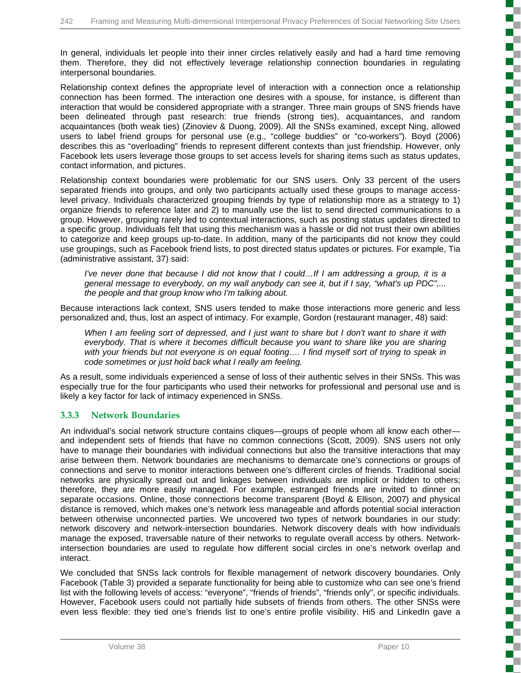In general, individuals let people into their inner circles relatively easily and had a hard time removing them. Therefore, they did not effectively leverage relationship connection boundaries in regulating interpersonal boundaries.

Relationship context defines the appropriate level of interaction with a connection once a relationship connection has been formed. The interaction one desires with a spouse, for instance, is different than interaction that would be considered appropriate with a stranger. Three main groups of SNS friends have been delineated through past research: true friends (strong ties), acquaintances, and random acquaintances (both weak ties) (Zinoviev & Duong, 2009). All the SNSs examined, except Ning, allowed users to label friend groups for personal use (e.g., "college buddies" or "co-workers"). Boyd (2006) describes this as "overloading" friends to represent different contexts than just friendship. However, only Facebook lets users leverage those groups to set access levels for sharing items such as status updates, contact information, and pictures.

Relationship context boundaries were problematic for our SNS users. Only 33 percent of the users separated friends into groups, and only two participants actually used these groups to manage accesslevel privacy. Individuals characterized grouping friends by type of relationship more as a strategy to 1) organize friends to reference later and 2) to manually use the list to send directed communications to a group. However, grouping rarely led to contextual interactions, such as posting status updates directed to a specific group. Individuals felt that using this mechanism was a hassle or did not trust their own abilities to categorize and keep groups up-to-date. In addition, many of the participants did not know they could use groupings, such as Facebook friend lists, to post directed status updates or pictures. For example, Tia (administrative assistant, 37) said:

*I've never done that because I did not know that I could…If I am addressing a group, it is a general message to everybody, on my wall anybody can see it, but if I say, "what's up PDC",... the people and that group know who I'm talking about.*

Because interactions lack context, SNS users tended to make those interactions more generic and less personalized and, thus, lost an aspect of intimacy. For example, Gordon (restaurant manager, 48) said:

*When I am feeling sort of depressed, and I just want to share but I don't want to share it with everybody. That is where it becomes difficult because you want to share like you are sharing with your friends but not everyone is on equal footing…. I find myself sort of trying to speak in code sometimes or just hold back what I really am feeling.*

As a result, some individuals experienced a sense of loss of their authentic selves in their SNSs. This was especially true for the four participants who used their networks for professional and personal use and is likely a key factor for lack of intimacy experienced in SNSs.

### **3.3.3 Network Boundaries**

An individual's social network structure contains cliques—groups of people whom all know each other and independent sets of friends that have no common connections (Scott, 2009). SNS users not only have to manage their boundaries with individual connections but also the transitive interactions that may arise between them. Network boundaries are mechanisms to demarcate one's connections or groups of connections and serve to monitor interactions between one's different circles of friends. Traditional social networks are physically spread out and linkages between individuals are implicit or hidden to others; therefore, they are more easily managed. For example, estranged friends are invited to dinner on separate occasions. Online, those connections become transparent (Boyd & Ellison, 2007) and physical distance is removed, which makes one's network less manageable and affords potential social interaction between otherwise unconnected parties. We uncovered two types of network boundaries in our study: network discovery and network-intersection boundaries. Network discovery deals with how individuals manage the exposed, traversable nature of their networks to regulate overall access by others. Networkintersection boundaries are used to regulate how different social circles in one's network overlap and interact.

We concluded that SNSs lack controls for flexible management of network discovery boundaries. Only Facebook (Table 3) provided a separate functionality for being able to customize who can see one's friend list with the following levels of access: "everyone", "friends of friends", "friends only", or specific individuals. However, Facebook users could not partially hide subsets of friends from others. The other SNSs were even less flexible: they tied one's friends list to one's entire profile visibility. Hi5 and LinkedIn gave a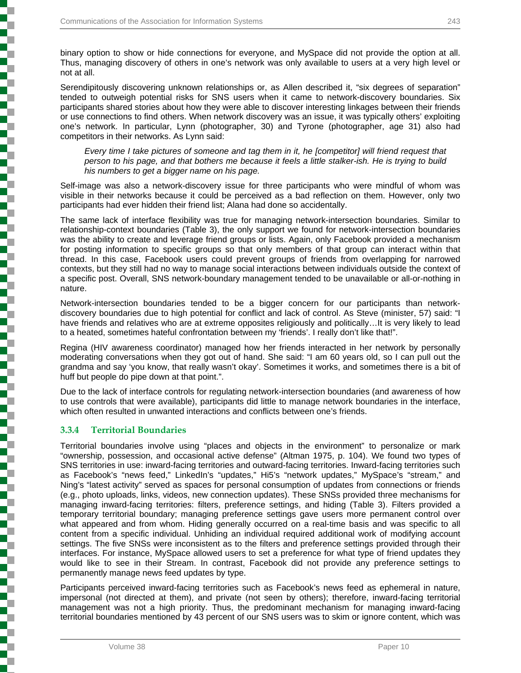binary option to show or hide connections for everyone, and MySpace did not provide the option at all. Thus, managing discovery of others in one's network was only available to users at a very high level or not at all.

Serendipitously discovering unknown relationships or, as Allen described it, "six degrees of separation" tended to outweigh potential risks for SNS users when it came to network-discovery boundaries. Six participants shared stories about how they were able to discover interesting linkages between their friends or use connections to find others. When network discovery was an issue, it was typically others' exploiting one's network. In particular, Lynn (photographer, 30) and Tyrone (photographer, age 31) also had competitors in their networks. As Lynn said:

*Every time I take pictures of someone and tag them in it, he [competitor] will friend request that person to his page, and that bothers me because it feels a little stalker-ish. He is trying to build his numbers to get a bigger name on his page.*

Self-image was also a network-discovery issue for three participants who were mindful of whom was visible in their networks because it could be perceived as a bad reflection on them. However, only two participants had ever hidden their friend list; Alana had done so accidentally.

The same lack of interface flexibility was true for managing network-intersection boundaries. Similar to relationship-context boundaries (Table 3), the only support we found for network-intersection boundaries was the ability to create and leverage friend groups or lists. Again, only Facebook provided a mechanism for posting information to specific groups so that only members of that group can interact within that thread. In this case, Facebook users could prevent groups of friends from overlapping for narrowed contexts, but they still had no way to manage social interactions between individuals outside the context of a specific post. Overall, SNS network-boundary management tended to be unavailable or all-or-nothing in nature.

Network-intersection boundaries tended to be a bigger concern for our participants than networkdiscovery boundaries due to high potential for conflict and lack of control. As Steve (minister, 57) said: "I have friends and relatives who are at extreme opposites religiously and politically...It is very likely to lead to a heated, sometimes hateful confrontation between my 'friends'. I really don't like that!".

Regina (HIV awareness coordinator) managed how her friends interacted in her network by personally moderating conversations when they got out of hand. She said: "I am 60 years old, so I can pull out the grandma and say 'you know, that really wasn't okay'. Sometimes it works, and sometimes there is a bit of huff but people do pipe down at that point.".

Due to the lack of interface controls for regulating network-intersection boundaries (and awareness of how to use controls that were available), participants did little to manage network boundaries in the interface, which often resulted in unwanted interactions and conflicts between one's friends.

## **3.3.4 Territorial Boundaries**

Territorial boundaries involve using "places and objects in the environment" to personalize or mark "ownership, possession, and occasional active defense" (Altman 1975, p. 104). We found two types of SNS territories in use: inward-facing territories and outward-facing territories. Inward-facing territories such as Facebook's "news feed," LinkedIn's "updates," Hi5's "network updates," MySpace's "stream," and Ning's "latest activity" served as spaces for personal consumption of updates from connections or friends (e.g., photo uploads, links, videos, new connection updates). These SNSs provided three mechanisms for managing inward-facing territories: filters, preference settings, and hiding (Table 3). Filters provided a temporary territorial boundary; managing preference settings gave users more permanent control over what appeared and from whom. Hiding generally occurred on a real-time basis and was specific to all content from a specific individual. Unhiding an individual required additional work of modifying account settings. The five SNSs were inconsistent as to the filters and preference settings provided through their interfaces. For instance, MySpace allowed users to set a preference for what type of friend updates they would like to see in their Stream. In contrast, Facebook did not provide any preference settings to permanently manage news feed updates by type.

Participants perceived inward-facing territories such as Facebook's news feed as ephemeral in nature, impersonal (not directed at them), and private (not seen by others); therefore, inward-facing territorial management was not a high priority. Thus, the predominant mechanism for managing inward-facing territorial boundaries mentioned by 43 percent of our SNS users was to skim or ignore content, which was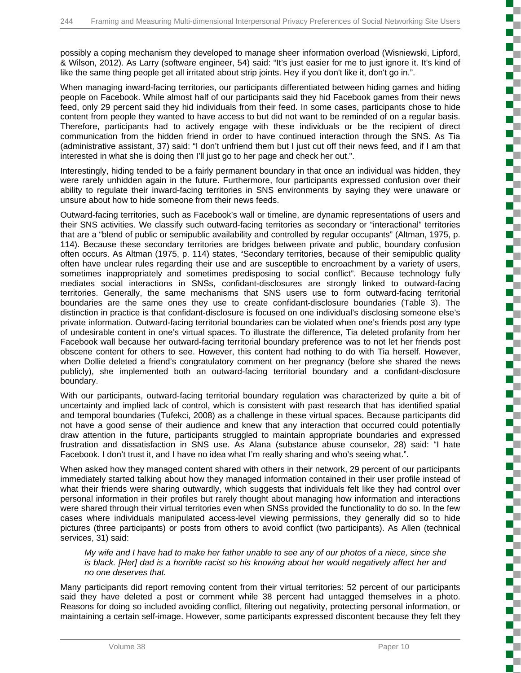possibly a coping mechanism they developed to manage sheer information overload (Wisniewski, Lipford, & Wilson, 2012). As Larry (software engineer, 54) said: "It's just easier for me to just ignore it. It's kind of like the same thing people get all irritated about strip joints. Hey if you don't like it, don't go in.".

When managing inward-facing territories, our participants differentiated between hiding games and hiding people on Facebook. While almost half of our participants said they hid Facebook games from their news feed, only 29 percent said they hid individuals from their feed. In some cases, participants chose to hide content from people they wanted to have access to but did not want to be reminded of on a regular basis. Therefore, participants had to actively engage with these individuals or be the recipient of direct communication from the hidden friend in order to have continued interaction through the SNS. As Tia (administrative assistant, 37) said: "I don't unfriend them but I just cut off their news feed, and if I am that interested in what she is doing then I'll just go to her page and check her out.".

Interestingly, hiding tended to be a fairly permanent boundary in that once an individual was hidden, they were rarely unhidden again in the future. Furthermore, four participants expressed confusion over their ability to regulate their inward-facing territories in SNS environments by saying they were unaware or unsure about how to hide someone from their news feeds.

Outward-facing territories, such as Facebook's wall or timeline, are dynamic representations of users and their SNS activities. We classify such outward-facing territories as secondary or "interactional" territories that are a "blend of public or semipublic availability and controlled by regular occupants" (Altman, 1975, p. 114). Because these secondary territories are bridges between private and public, boundary confusion often occurs. As Altman (1975, p. 114) states, "Secondary territories, because of their semipublic quality often have unclear rules regarding their use and are susceptible to encroachment by a variety of users, sometimes inappropriately and sometimes predisposing to social conflict". Because technology fully mediates social interactions in SNSs, confidant-disclosures are strongly linked to outward-facing territories. Generally, the same mechanisms that SNS users use to form outward-facing territorial boundaries are the same ones they use to create confidant-disclosure boundaries (Table 3). The distinction in practice is that confidant-disclosure is focused on one individual's disclosing someone else's private information. Outward-facing territorial boundaries can be violated when one's friends post any type of undesirable content in one's virtual spaces. To illustrate the difference, Tia deleted profanity from her Facebook wall because her outward-facing territorial boundary preference was to not let her friends post obscene content for others to see. However, this content had nothing to do with Tia herself. However, when Dollie deleted a friend's congratulatory comment on her pregnancy (before she shared the news publicly), she implemented both an outward-facing territorial boundary and a confidant-disclosure boundary.

With our participants, outward-facing territorial boundary regulation was characterized by quite a bit of uncertainty and implied lack of control, which is consistent with past research that has identified spatial and temporal boundaries (Tufekci, 2008) as a challenge in these virtual spaces. Because participants did not have a good sense of their audience and knew that any interaction that occurred could potentially draw attention in the future, participants struggled to maintain appropriate boundaries and expressed frustration and dissatisfaction in SNS use. As Alana (substance abuse counselor, 28) said: "I hate Facebook. I don't trust it, and I have no idea what I'm really sharing and who's seeing what.".

When asked how they managed content shared with others in their network, 29 percent of our participants immediately started talking about how they managed information contained in their user profile instead of what their friends were sharing outwardly, which suggests that individuals felt like they had control over personal information in their profiles but rarely thought about managing how information and interactions were shared through their virtual territories even when SNSs provided the functionality to do so. In the few cases where individuals manipulated access-level viewing permissions, they generally did so to hide pictures (three participants) or posts from others to avoid conflict (two participants). As Allen (technical services, 31) said:

*My wife and I have had to make her father unable to see any of our photos of a niece, since she is black. [Her] dad is a horrible racist so his knowing about her would negatively affect her and no one deserves that.*

Many participants did report removing content from their virtual territories: 52 percent of our participants said they have deleted a post or comment while 38 percent had untagged themselves in a photo. Reasons for doing so included avoiding conflict, filtering out negativity, protecting personal information, or maintaining a certain self-image. However, some participants expressed discontent because they felt they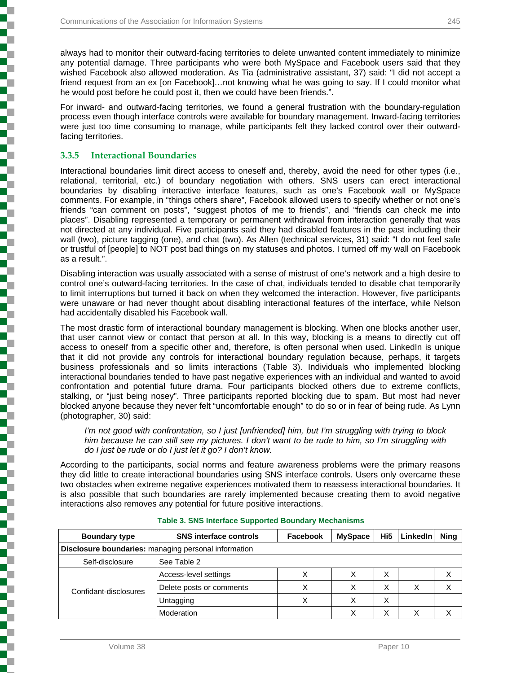always had to monitor their outward-facing territories to delete unwanted content immediately to minimize any potential damage. Three participants who were both MySpace and Facebook users said that they wished Facebook also allowed moderation. As Tia (administrative assistant, 37) said: "I did not accept a friend request from an ex [on Facebook]...not knowing what he was going to say. If I could monitor what he would post before he could post it, then we could have been friends.".

For inward- and outward-facing territories, we found a general frustration with the boundary-regulation process even though interface controls were available for boundary management. Inward-facing territories were just too time consuming to manage, while participants felt they lacked control over their outwardfacing territories.

#### **3.3.5 Interactional Boundaries**

₿

Interactional boundaries limit direct access to oneself and, thereby, avoid the need for other types (i.e., relational, territorial, etc.) of boundary negotiation with others. SNS users can erect interactional boundaries by disabling interactive interface features, such as one's Facebook wall or MySpace comments. For example, in "things others share", Facebook allowed users to specify whether or not one's friends "can comment on posts", "suggest photos of me to friends", and "friends can check me into places". Disabling represented a temporary or permanent withdrawal from interaction generally that was not directed at any individual. Five participants said they had disabled features in the past including their wall (two), picture tagging (one), and chat (two). As Allen (technical services, 31) said: "I do not feel safe or trustful of [people] to NOT post bad things on my statuses and photos. I turned off my wall on Facebook as a result.".

Disabling interaction was usually associated with a sense of mistrust of one's network and a high desire to control one's outward-facing territories. In the case of chat, individuals tended to disable chat temporarily to limit interruptions but turned it back on when they welcomed the interaction. However, five participants were unaware or had never thought about disabling interactional features of the interface, while Nelson had accidentally disabled his Facebook wall.

The most drastic form of interactional boundary management is blocking. When one blocks another user, that user cannot view or contact that person at all. In this way, blocking is a means to directly cut off access to oneself from a specific other and, therefore, is often personal when used. LinkedIn is unique that it did not provide any controls for interactional boundary regulation because, perhaps, it targets business professionals and so limits interactions (Table 3). Individuals who implemented blocking interactional boundaries tended to have past negative experiences with an individual and wanted to avoid confrontation and potential future drama. Four participants blocked others due to extreme conflicts, stalking, or "just being nosey". Three participants reported blocking due to spam. But most had never blocked anyone because they never felt "uncomfortable enough" to do so or in fear of being rude. As Lynn (photographer, 30) said:

*I'm not good with confrontation, so I just [unfriended] him, but I'm struggling with trying to block him because he can still see my pictures. I don't want to be rude to him, so I'm struggling with do I just be rude or do I just let it go? I don't know.*

According to the participants, social norms and feature awareness problems were the primary reasons they did little to create interactional boundaries using SNS interface controls. Users only overcame these two obstacles when extreme negative experiences motivated them to reassess interactional boundaries. It is also possible that such boundaries are rarely implemented because creating them to avoid negative interactions also removes any potential for future positive interactions.

| <b>Boundary type</b>  | <b>SNS interface controls</b>                               | Hi <sub>5</sub><br><b>LinkedIn</b><br><b>MySpace</b><br>Facebook |   |   |   | <b>Ning</b> |
|-----------------------|-------------------------------------------------------------|------------------------------------------------------------------|---|---|---|-------------|
|                       | <b>Disclosure boundaries:</b> managing personal information |                                                                  |   |   |   |             |
| Self-disclosure       | See Table 2                                                 |                                                                  |   |   |   |             |
|                       | Access-level settings                                       |                                                                  | х | X |   | Χ           |
| Confidant-disclosures | Delete posts or comments                                    |                                                                  | Χ | X | Χ | $\check{ }$ |
|                       | Untagging                                                   |                                                                  | Χ | X |   |             |
|                       | Moderation                                                  |                                                                  | Χ |   | Χ |             |

|  |  | <b>Table 3. SNS Interface Supported Boundary Mechanisms</b> |
|--|--|-------------------------------------------------------------|
|  |  |                                                             |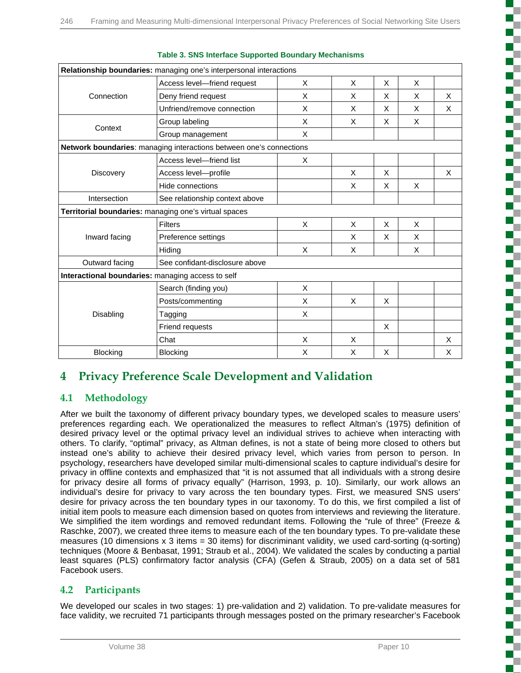|                  | Relationship boundaries: managing one's interpersonal interactions  |   |   |   |   |          |
|------------------|---------------------------------------------------------------------|---|---|---|---|----------|
|                  | Access level-friend request                                         | X | X | X | X |          |
| Connection       | Deny friend request                                                 | X | X | X | X | X        |
|                  | Unfriend/remove connection                                          | X | X | X | X | X        |
|                  | Group labeling                                                      | X | X | X | X |          |
| Context          | Group management                                                    | X |   |   |   |          |
|                  | Network boundaries: managing interactions between one's connections |   |   |   |   |          |
|                  | Access level-friend list                                            | X |   |   |   |          |
| <b>Discovery</b> | Access level-profile                                                |   | X | X |   | $\times$ |
|                  | Hide connections                                                    |   | X | X | X |          |
| Intersection     | See relationship context above                                      |   |   |   |   |          |
|                  | Territorial boundaries: managing one's virtual spaces               |   |   |   |   |          |
|                  | <b>Filters</b>                                                      | X | X | X | X |          |
| Inward facing    | Preference settings                                                 |   | X | X | X |          |
|                  | Hiding                                                              | X | X |   | X |          |
| Outward facing   | See confidant-disclosure above                                      |   |   |   |   |          |
|                  | Interactional boundaries: managing access to self                   |   |   |   |   |          |
|                  | Search (finding you)                                                | X |   |   |   |          |
|                  | Posts/commenting                                                    | X | X | X |   |          |
| Disabling        | Tagging                                                             | X |   |   |   |          |
|                  | Friend requests                                                     |   |   | X |   |          |
|                  | Chat                                                                | X | X |   |   | X        |
| <b>Blocking</b>  | Blocking                                                            | X | X | X |   | X        |

# **4 Privacy Preference Scale Development and Validation**

# **4.1 Methodology**

After we built the taxonomy of different privacy boundary types, we developed scales to measure users' preferences regarding each. We operationalized the measures to reflect Altman's (1975) definition of desired privacy level or the optimal privacy level an individual strives to achieve when interacting with others. To clarify, "optimal" privacy, as Altman defines, is not a state of being more closed to others but instead one's ability to achieve their desired privacy level, which varies from person to person. In psychology, researchers have developed similar multi-dimensional scales to capture individual's desire for privacy in offline contexts and emphasized that "it is not assumed that all individuals with a strong desire for privacy desire all forms of privacy equally" (Harrison, 1993, p. 10). Similarly, our work allows an individual's desire for privacy to vary across the ten boundary types. First, we measured SNS users' desire for privacy across the ten boundary types in our taxonomy. To do this, we first compiled a list of initial item pools to measure each dimension based on quotes from interviews and reviewing the literature. We simplified the item wordings and removed redundant items. Following the "rule of three" (Freeze & Raschke, 2007), we created three items to measure each of the ten boundary types. To pre-validate these measures (10 dimensions  $x$  3 items = 30 items) for discriminant validity, we used card-sorting (q-sorting) techniques (Moore & Benbasat, 1991; Straub et al., 2004). We validated the scales by conducting a partial least squares (PLS) confirmatory factor analysis (CFA) (Gefen & Straub, 2005) on a data set of 581 Facebook users.

# **4.2 Participants**

We developed our scales in two stages: 1) pre-validation and 2) validation. To pre-validate measures for face validity, we recruited 71 participants through messages posted on the primary researcher's Facebook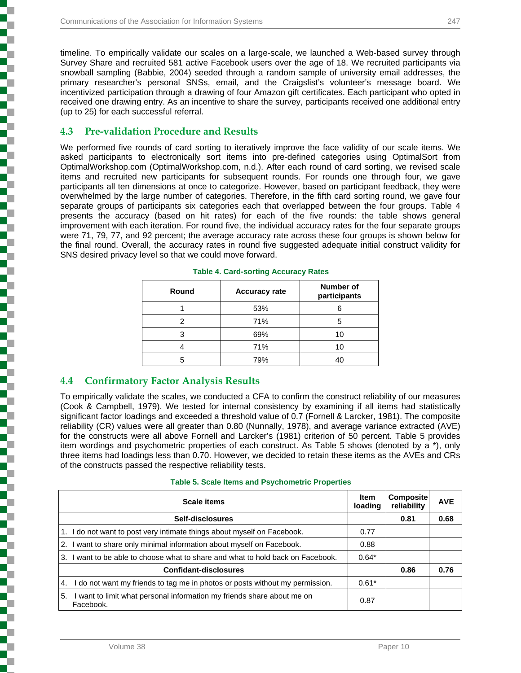timeline. To empirically validate our scales on a large-scale, we launched a Web-based survey through Survey Share and recruited 581 active Facebook users over the age of 18. We recruited participants via snowball sampling (Babbie, 2004) seeded through a random sample of university email addresses, the primary researcher's personal SNSs, email, and the Craigslist's volunteer's message board. We incentivized participation through a drawing of four Amazon gift certificates. Each participant who opted in received one drawing entry. As an incentive to share the survey, participants received one additional entry (up to 25) for each successful referral.

## **4.3 Pre-validation Procedure and Results**

We performed five rounds of card sorting to iteratively improve the face validity of our scale items. We asked participants to electronically sort items into pre-defined categories using OptimalSort from OptimalWorkshop.com (OptimalWorkshop.com, n.d.). After each round of card sorting, we revised scale items and recruited new participants for subsequent rounds. For rounds one through four, we gave participants all ten dimensions at once to categorize. However, based on participant feedback, they were overwhelmed by the large number of categories. Therefore, in the fifth card sorting round, we gave four separate groups of participants six categories each that overlapped between the four groups. Table 4 presents the accuracy (based on hit rates) for each of the five rounds: the table shows general improvement with each iteration. For round five, the individual accuracy rates for the four separate groups were 71, 79, 77, and 92 percent; the average accuracy rate across these four groups is shown below for the final round. Overall, the accuracy rates in round five suggested adequate initial construct validity for SNS desired privacy level so that we could move forward.

| Round | <b>Accuracy rate</b> | Number of<br>participants |
|-------|----------------------|---------------------------|
|       | 53%                  | ĥ                         |
|       | 71%                  |                           |
|       | 69%                  | 10                        |
|       | 71%                  | 10                        |
|       | 79%                  |                           |

#### **Table 4. Card-sorting Accuracy Rates**

### **4.4 Confirmatory Factor Analysis Results**

To empirically validate the scales, we conducted a CFA to confirm the construct reliability of our measures (Cook & Campbell, 1979). We tested for internal consistency by examining if all items had statistically significant factor loadings and exceeded a threshold value of 0.7 (Fornell & Larcker, 1981). The composite reliability (CR) values were all greater than 0.80 (Nunnally, 1978), and average variance extracted (AVE) for the constructs were all above Fornell and Larcker's (1981) criterion of 50 percent. Table 5 provides item wordings and psychometric properties of each construct. As Table 5 shows (denoted by a \*), only three items had loadings less than 0.70. However, we decided to retain these items as the AVEs and CRs of the constructs passed the respective reliability tests.

|  | <b>Table 5. Scale Items and Psychometric Properties</b> |  |
|--|---------------------------------------------------------|--|
|  |                                                         |  |

| <b>Scale items</b>                                                                      | <b>Item</b><br>loading | <b>Composite</b><br>reliability | <b>AVE</b> |
|-----------------------------------------------------------------------------------------|------------------------|---------------------------------|------------|
| Self-disclosures                                                                        |                        | 0.81                            | 0.68       |
| 1. I do not want to post very intimate things about myself on Facebook.                 | 0.77                   |                                 |            |
| I want to share only minimal information about myself on Facebook.<br>2.                | 0.88                   |                                 |            |
| 3. I want to be able to choose what to share and what to hold back on Facebook.         | $0.64*$                |                                 |            |
| <b>Confidant-disclosures</b>                                                            |                        | 0.86                            | 0.76       |
| I do not want my friends to tag me in photos or posts without my permission.<br>4.      | $0.61*$                |                                 |            |
| 5.<br>want to limit what personal information my friends share about me on<br>Facebook. | 0.87                   |                                 |            |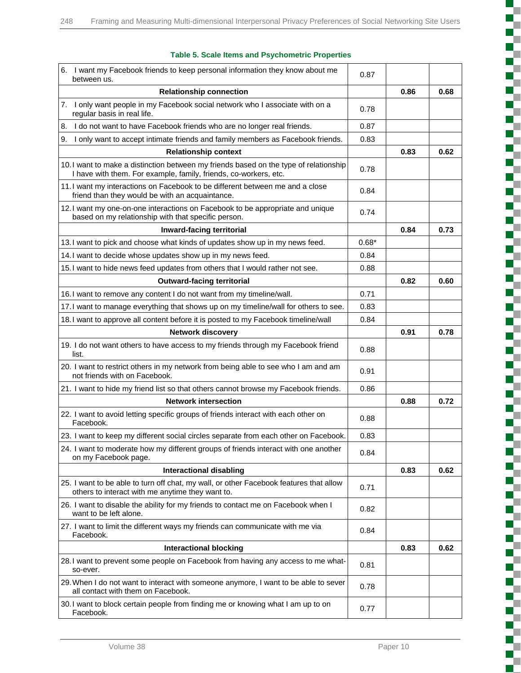| 6. I want my Facebook friends to keep personal information they know about me<br>between us.                                                             | 0.87    |      |      |
|----------------------------------------------------------------------------------------------------------------------------------------------------------|---------|------|------|
| <b>Relationship connection</b>                                                                                                                           |         | 0.86 | 0.68 |
| 7. I only want people in my Facebook social network who I associate with on a<br>regular basis in real life.                                             | 0.78    |      |      |
| I do not want to have Facebook friends who are no longer real friends.<br>8.                                                                             | 0.87    |      |      |
| I only want to accept intimate friends and family members as Facebook friends.<br>9.                                                                     | 0.83    |      |      |
| <b>Relationship context</b>                                                                                                                              |         | 0.83 | 0.62 |
| 10.1 want to make a distinction between my friends based on the type of relationship<br>I have with them. For example, family, friends, co-workers, etc. | 0.78    |      |      |
| 11. I want my interactions on Facebook to be different between me and a close<br>friend than they would be with an acquaintance.                         | 0.84    |      |      |
| 12. I want my one-on-one interactions on Facebook to be appropriate and unique<br>based on my relationship with that specific person.                    | 0.74    |      |      |
| Inward-facing territorial                                                                                                                                |         | 0.84 | 0.73 |
| 13. I want to pick and choose what kinds of updates show up in my news feed.                                                                             | $0.68*$ |      |      |
| 14. I want to decide whose updates show up in my news feed.                                                                                              | 0.84    |      |      |
| 15.1 want to hide news feed updates from others that I would rather not see.                                                                             | 0.88    |      |      |
| <b>Outward-facing territorial</b>                                                                                                                        |         | 0.82 | 0.60 |
| 16.1 want to remove any content I do not want from my timeline/wall.                                                                                     | 0.71    |      |      |
| 17. I want to manage everything that shows up on my timeline/wall for others to see.                                                                     | 0.83    |      |      |
| 18. I want to approve all content before it is posted to my Facebook timeline/wall                                                                       | 0.84    |      |      |
| <b>Network discovery</b>                                                                                                                                 |         | 0.91 | 0.78 |
| 19. I do not want others to have access to my friends through my Facebook friend<br>list.                                                                | 0.88    |      |      |
| 20. I want to restrict others in my network from being able to see who I am and am<br>not friends with on Facebook.                                      | 0.91    |      |      |
| 21. I want to hide my friend list so that others cannot browse my Facebook friends.                                                                      | 0.86    |      |      |
| <b>Network intersection</b>                                                                                                                              |         | 0.88 | 0.72 |
| 22. I want to avoid letting specific groups of friends interact with each other on<br>Facebook.                                                          | 0.88    |      |      |
| 23. I want to keep my different social circles separate from each other on Facebook.                                                                     | 0.83    |      |      |
| 24. I want to moderate how my different groups of friends interact with one another<br>on my Facebook page.                                              | 0.84    |      |      |
| <b>Interactional disabling</b>                                                                                                                           |         | 0.83 | 0.62 |
| 25. I want to be able to turn off chat, my wall, or other Facebook features that allow<br>others to interact with me anytime they want to.               | 0.71    |      |      |
| 26. I want to disable the ability for my friends to contact me on Facebook when I<br>want to be left alone.                                              | 0.82    |      |      |
| 27. I want to limit the different ways my friends can communicate with me via<br>Facebook.                                                               | 0.84    |      |      |
| <b>Interactional blocking</b>                                                                                                                            |         | 0.83 | 0.62 |
| 28. I want to prevent some people on Facebook from having any access to me what-<br>so-ever.                                                             | 0.81    |      |      |
| 29. When I do not want to interact with someone anymore, I want to be able to sever<br>all contact with them on Facebook.                                | 0.78    |      |      |
| 30. I want to block certain people from finding me or knowing what I am up to on<br>Facebook.                                                            | 0.77    |      |      |

#### **Table 5. Scale Items and Psychometric Properties**

с  $\Box$ U. ПT Ō.

Œ C  $\mathbb{R}^n$ C C ď, D. a.

Ş

¢,  $\mathbb{R}^n$ C c ď. ĸ. с C

5 <u>li i </u> E. E. c

Ś E, **STEP** c c ď, **De** E. c

c ď, E. ł

S  $\mathbb{R}^n$  $\Box$ **College**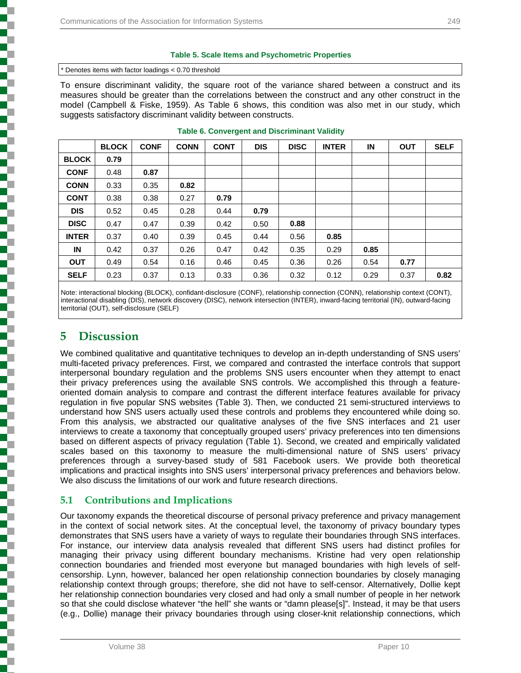#### **Table 5. Scale Items and Psychometric Properties**

\* Denotes items with factor loadings < 0.70 threshold

To ensure discriminant validity, the square root of the variance shared between a construct and its measures should be greater than the correlations between the construct and any other construct in the model (Campbell & Fiske, 1959). As Table 6 shows, this condition was also met in our study, which suggests satisfactory discriminant validity between constructs.

|              | <b>BLOCK</b> | <b>CONF</b> | <b>CONN</b> | <b>CONT</b> | <b>DIS</b> | <b>DISC</b> | <b>INTER</b> | IN   | <b>OUT</b> | <b>SELF</b> |
|--------------|--------------|-------------|-------------|-------------|------------|-------------|--------------|------|------------|-------------|
| <b>BLOCK</b> | 0.79         |             |             |             |            |             |              |      |            |             |
| <b>CONF</b>  | 0.48         | 0.87        |             |             |            |             |              |      |            |             |
| <b>CONN</b>  | 0.33         | 0.35        | 0.82        |             |            |             |              |      |            |             |
| <b>CONT</b>  | 0.38         | 0.38        | 0.27        | 0.79        |            |             |              |      |            |             |
| <b>DIS</b>   | 0.52         | 0.45        | 0.28        | 0.44        | 0.79       |             |              |      |            |             |
| <b>DISC</b>  | 0.47         | 0.47        | 0.39        | 0.42        | 0.50       | 0.88        |              |      |            |             |
| <b>INTER</b> | 0.37         | 0.40        | 0.39        | 0.45        | 0.44       | 0.56        | 0.85         |      |            |             |
| IN           | 0.42         | 0.37        | 0.26        | 0.47        | 0.42       | 0.35        | 0.29         | 0.85 |            |             |
| <b>OUT</b>   | 0.49         | 0.54        | 0.16        | 0.46        | 0.45       | 0.36        | 0.26         | 0.54 | 0.77       |             |
| <b>SELF</b>  | 0.23         | 0.37        | 0.13        | 0.33        | 0.36       | 0.32        | 0.12         | 0.29 | 0.37       | 0.82        |

**Table 6. Convergent and Discriminant Validity**

Note: interactional blocking (BLOCK), confidant-disclosure (CONF), relationship connection (CONN), relationship context (CONT), interactional disabling (DIS), network discovery (DISC), network intersection (INTER), inward-facing territorial (IN), outward-facing territorial (OUT), self-disclosure (SELF)

# **5 Discussion**

We combined qualitative and quantitative techniques to develop an in-depth understanding of SNS users' multi-faceted privacy preferences. First, we compared and contrasted the interface controls that support interpersonal boundary regulation and the problems SNS users encounter when they attempt to enact their privacy preferences using the available SNS controls. We accomplished this through a featureoriented domain analysis to compare and contrast the different interface features available for privacy regulation in five popular SNS websites (Table 3). Then, we conducted 21 semi-structured interviews to understand how SNS users actually used these controls and problems they encountered while doing so. From this analysis, we abstracted our qualitative analyses of the five SNS interfaces and 21 user interviews to create a taxonomy that conceptually grouped users' privacy preferences into ten dimensions based on different aspects of privacy regulation (Table 1). Second, we created and empirically validated scales based on this taxonomy to measure the multi-dimensional nature of SNS users' privacy preferences through a survey-based study of 581 Facebook users. We provide both theoretical implications and practical insights into SNS users' interpersonal privacy preferences and behaviors below. We also discuss the limitations of our work and future research directions.

# **5.1 Contributions and Implications**

Our taxonomy expands the theoretical discourse of personal privacy preference and privacy management in the context of social network sites. At the conceptual level, the taxonomy of privacy boundary types demonstrates that SNS users have a variety of ways to regulate their boundaries through SNS interfaces. For instance, our interview data analysis revealed that different SNS users had distinct profiles for managing their privacy using different boundary mechanisms. Kristine had very open relationship connection boundaries and friended most everyone but managed boundaries with high levels of selfcensorship. Lynn, however, balanced her open relationship connection boundaries by closely managing relationship context through groups; therefore, she did not have to self-censor. Alternatively, Dollie kept her relationship connection boundaries very closed and had only a small number of people in her network so that she could disclose whatever "the hell" she wants or "damn please[s]". Instead, it may be that users (e.g., Dollie) manage their privacy boundaries through using closer-knit relationship connections, which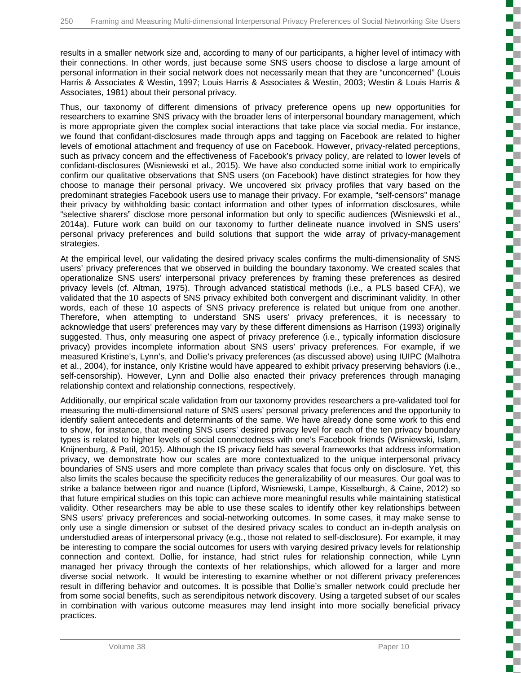results in a smaller network size and, according to many of our participants, a higher level of intimacy with their connections. In other words, just because some SNS users choose to disclose a large amount of personal information in their social network does not necessarily mean that they are "unconcerned" (Louis Harris & Associates & Westin, 1997; Louis Harris & Associates & Westin, 2003; Westin & Louis Harris & Associates, 1981) about their personal privacy.

Thus, our taxonomy of different dimensions of privacy preference opens up new opportunities for researchers to examine SNS privacy with the broader lens of interpersonal boundary management, which is more appropriate given the complex social interactions that take place via social media. For instance, we found that confidant-disclosures made through apps and tagging on Facebook are related to higher levels of emotional attachment and frequency of use on Facebook. However, privacy-related perceptions, such as privacy concern and the effectiveness of Facebook's privacy policy, are related to lower levels of confidant-disclosures (Wisniewski et al., 2015). We have also conducted some initial work to empirically confirm our qualitative observations that SNS users (on Facebook) have distinct strategies for how they choose to manage their personal privacy. We uncovered six privacy profiles that vary based on the predominant strategies Facebook users use to manage their privacy. For example, "self-censors" manage their privacy by withholding basic contact information and other types of information disclosures, while "selective sharers" disclose more personal information but only to specific audiences (Wisniewski et al., 2014a). Future work can build on our taxonomy to further delineate nuance involved in SNS users' personal privacy preferences and build solutions that support the wide array of privacy-management strategies.

At the empirical level, our validating the desired privacy scales confirms the multi-dimensionality of SNS users' privacy preferences that we observed in building the boundary taxonomy. We created scales that operationalize SNS users' interpersonal privacy preferences by framing these preferences as desired privacy levels (cf. Altman, 1975). Through advanced statistical methods (i.e., a PLS based CFA), we validated that the 10 aspects of SNS privacy exhibited both convergent and discriminant validity. In other words, each of these 10 aspects of SNS privacy preference is related but unique from one another. Therefore, when attempting to understand SNS users' privacy preferences, it is necessary to acknowledge that users' preferences may vary by these different dimensions as Harrison (1993) originally suggested. Thus, only measuring one aspect of privacy preference (i.e., typically information disclosure privacy) provides incomplete information about SNS users' privacy preferences. For example, if we measured Kristine's, Lynn's, and Dollie's privacy preferences (as discussed above) using IUIPC (Malhotra et al., 2004), for instance, only Kristine would have appeared to exhibit privacy preserving behaviors (i.e., self-censorship). However, Lynn and Dollie also enacted their privacy preferences through managing relationship context and relationship connections, respectively.

Additionally, our empirical scale validation from our taxonomy provides researchers a pre-validated tool for measuring the multi-dimensional nature of SNS users' personal privacy preferences and the opportunity to identify salient antecedents and determinants of the same. We have already done some work to this end to show, for instance, that meeting SNS users' desired privacy level for each of the ten privacy boundary types is related to higher levels of social connectedness with one's Facebook friends (Wisniewski, Islam, Knijnenburg, & Patil, 2015). Although the IS privacy field has several frameworks that address information privacy, we demonstrate how our scales are more contextualized to the unique interpersonal privacy boundaries of SNS users and more complete than privacy scales that focus only on disclosure. Yet, this also limits the scales because the specificity reduces the generalizability of our measures. Our goal was to strike a balance between rigor and nuance (Lipford, Wisniewski, Lampe, Kisselburgh, & Caine, 2012) so that future empirical studies on this topic can achieve more meaningful results while maintaining statistical validity. Other researchers may be able to use these scales to identify other key relationships between SNS users' privacy preferences and social-networking outcomes. In some cases, it may make sense to only use a single dimension or subset of the desired privacy scales to conduct an in-depth analysis on understudied areas of interpersonal privacy (e.g., those not related to self-disclosure). For example, it may be interesting to compare the social outcomes for users with varying desired privacy levels for relationship connection and context. Dollie, for instance, had strict rules for relationship connection, while Lynn managed her privacy through the contexts of her relationships, which allowed for a larger and more diverse social network. It would be interesting to examine whether or not different privacy preferences result in differing behavior and outcomes. It is possible that Dollie's smaller network could preclude her from some social benefits, such as serendipitous network discovery. Using a targeted subset of our scales in combination with various outcome measures may lend insight into more socially beneficial privacy practices.

į

i<br>Sanada

 $\mathbb{R}^n$ 2

Ş

▛

í

7

į

÷

į

 $\mathbb{R}^{\mathbb{Z}}$ 

į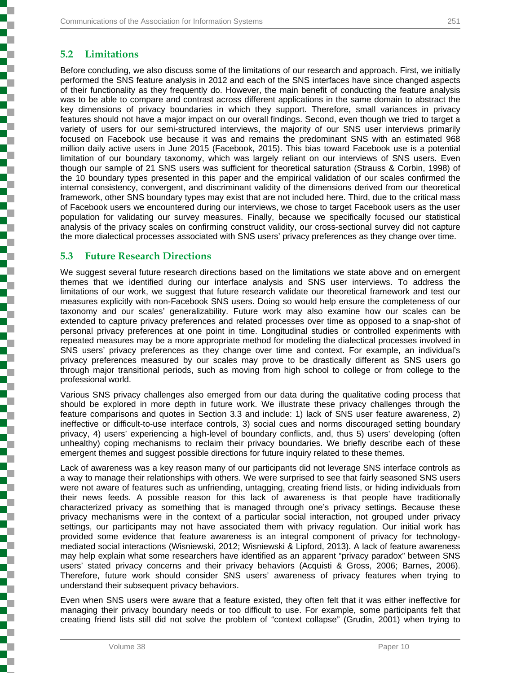Before concluding, we also discuss some of the limitations of our research and approach. First, we initially performed the SNS feature analysis in 2012 and each of the SNS interfaces have since changed aspects of their functionality as they frequently do. However, the main benefit of conducting the feature analysis was to be able to compare and contrast across different applications in the same domain to abstract the key dimensions of privacy boundaries in which they support. Therefore, small variances in privacy features should not have a major impact on our overall findings. Second, even though we tried to target a variety of users for our semi-structured interviews, the majority of our SNS user interviews primarily focused on Facebook use because it was and remains the predominant SNS with an estimated 968 million daily active users in June 2015 (Facebook, 2015). This bias toward Facebook use is a potential limitation of our boundary taxonomy, which was largely reliant on our interviews of SNS users. Even though our sample of 21 SNS users was sufficient for theoretical saturation (Strauss & Corbin, 1998) of the 10 boundary types presented in this paper and the empirical validation of our scales confirmed the internal consistency, convergent, and discriminant validity of the dimensions derived from our theoretical framework, other SNS boundary types may exist that are not included here. Third, due to the critical mass of Facebook users we encountered during our interviews, we chose to target Facebook users as the user population for validating our survey measures. Finally, because we specifically focused our statistical analysis of the privacy scales on confirming construct validity, our cross-sectional survey did not capture the more dialectical processes associated with SNS users' privacy preferences as they change over time.

## **5.3 Future Research Directions**

We suggest several future research directions based on the limitations we state above and on emergent themes that we identified during our interface analysis and SNS user interviews. To address the limitations of our work, we suggest that future research validate our theoretical framework and test our measures explicitly with non-Facebook SNS users. Doing so would help ensure the completeness of our taxonomy and our scales' generalizability. Future work may also examine how our scales can be extended to capture privacy preferences and related processes over time as opposed to a snap-shot of personal privacy preferences at one point in time. Longitudinal studies or controlled experiments with repeated measures may be a more appropriate method for modeling the dialectical processes involved in SNS users' privacy preferences as they change over time and context. For example, an individual's privacy preferences measured by our scales may prove to be drastically different as SNS users go through major transitional periods, such as moving from high school to college or from college to the professional world.

Various SNS privacy challenges also emerged from our data during the qualitative coding process that should be explored in more depth in future work. We illustrate these privacy challenges through the feature comparisons and quotes in Section 3.3 and include: 1) lack of SNS user feature awareness, 2) ineffective or difficult-to-use interface controls, 3) social cues and norms discouraged setting boundary privacy, 4) users' experiencing a high-level of boundary conflicts, and, thus 5) users' developing (often unhealthy) coping mechanisms to reclaim their privacy boundaries. We briefly describe each of these emergent themes and suggest possible directions for future inquiry related to these themes.

Lack of awareness was a key reason many of our participants did not leverage SNS interface controls as a way to manage their relationships with others. We were surprised to see that fairly seasoned SNS users were not aware of features such as unfriending, untagging, creating friend lists, or hiding individuals from their news feeds. A possible reason for this lack of awareness is that people have traditionally characterized privacy as something that is managed through one's privacy settings. Because these privacy mechanisms were in the context of a particular social interaction, not grouped under privacy settings, our participants may not have associated them with privacy regulation. Our initial work has provided some evidence that feature awareness is an integral component of privacy for technologymediated social interactions (Wisniewski, 2012; Wisniewski & Lipford, 2013). A lack of feature awareness may help explain what some researchers have identified as an apparent "privacy paradox" between SNS users' stated privacy concerns and their privacy behaviors (Acquisti & Gross, 2006; Barnes, 2006). Therefore, future work should consider SNS users' awareness of privacy features when trying to understand their subsequent privacy behaviors.

Even when SNS users were aware that a feature existed, they often felt that it was either ineffective for managing their privacy boundary needs or too difficult to use. For example, some participants felt that creating friend lists still did not solve the problem of "context collapse" (Grudin, 2001) when trying to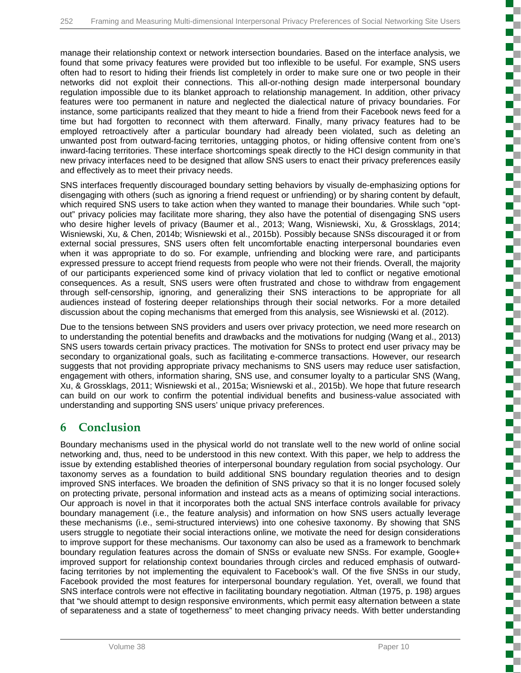manage their relationship context or network intersection boundaries. Based on the interface analysis, we found that some privacy features were provided but too inflexible to be useful. For example, SNS users often had to resort to hiding their friends list completely in order to make sure one or two people in their networks did not exploit their connections. This all-or-nothing design made interpersonal boundary regulation impossible due to its blanket approach to relationship management. In addition, other privacy features were too permanent in nature and neglected the dialectical nature of privacy boundaries. For instance, some participants realized that they meant to hide a friend from their Facebook news feed for a time but had forgotten to reconnect with them afterward. Finally, many privacy features had to be employed retroactively after a particular boundary had already been violated, such as deleting an unwanted post from outward-facing territories, untagging photos, or hiding offensive content from one's inward-facing territories. These interface shortcomings speak directly to the HCI design community in that new privacy interfaces need to be designed that allow SNS users to enact their privacy preferences easily and effectively as to meet their privacy needs.

SNS interfaces frequently discouraged boundary setting behaviors by visually de-emphasizing options for disengaging with others (such as ignoring a friend request or unfriending) or by sharing content by default, which required SNS users to take action when they wanted to manage their boundaries. While such "optout" privacy policies may facilitate more sharing, they also have the potential of disengaging SNS users who desire higher levels of privacy (Baumer et al., 2013; Wang, Wisniewski, Xu, & Grossklags, 2014; Wisniewski, Xu, & Chen, 2014b; Wisniewski et al., 2015b). Possibly because SNSs discouraged it or from external social pressures, SNS users often felt uncomfortable enacting interpersonal boundaries even when it was appropriate to do so. For example, unfriending and blocking were rare, and participants expressed pressure to accept friend requests from people who were not their friends. Overall, the majority of our participants experienced some kind of privacy violation that led to conflict or negative emotional consequences. As a result, SNS users were often frustrated and chose to withdraw from engagement through self-censorship, ignoring, and generalizing their SNS interactions to be appropriate for all audiences instead of fostering deeper relationships through their social networks. For a more detailed discussion about the coping mechanisms that emerged from this analysis, see Wisniewski et al. (2012).

Due to the tensions between SNS providers and users over privacy protection, we need more research on to understanding the potential benefits and drawbacks and the motivations for nudging (Wang et al., 2013) SNS users towards certain privacy practices. The motivation for SNSs to protect end user privacy may be secondary to organizational goals, such as facilitating e-commerce transactions. However, our research suggests that not providing appropriate privacy mechanisms to SNS users may reduce user satisfaction, engagement with others, information sharing, SNS use, and consumer loyalty to a particular SNS (Wang, Xu, & Grossklags, 2011; Wisniewski et al., 2015a; Wisniewski et al., 2015b). We hope that future research can build on our work to confirm the potential individual benefits and business-value associated with understanding and supporting SNS users' unique privacy preferences.

# **6 Conclusion**

Boundary mechanisms used in the physical world do not translate well to the new world of online social networking and, thus, need to be understood in this new context. With this paper, we help to address the issue by extending established theories of interpersonal boundary regulation from social psychology. Our taxonomy serves as a foundation to build additional SNS boundary regulation theories and to design improved SNS interfaces. We broaden the definition of SNS privacy so that it is no longer focused solely on protecting private, personal information and instead acts as a means of optimizing social interactions. Our approach is novel in that it incorporates both the actual SNS interface controls available for privacy boundary management (i.e., the feature analysis) and information on how SNS users actually leverage these mechanisms (i.e., semi-structured interviews) into one cohesive taxonomy. By showing that SNS users struggle to negotiate their social interactions online, we motivate the need for design considerations to improve support for these mechanisms. Our taxonomy can also be used as a framework to benchmark boundary regulation features across the domain of SNSs or evaluate new SNSs. For example, Google+ improved support for relationship context boundaries through circles and reduced emphasis of outwardfacing territories by not implementing the equivalent to Facebook's wall. Of the five SNSs in our study, Facebook provided the most features for interpersonal boundary regulation. Yet, overall, we found that SNS interface controls were not effective in facilitating boundary negotiation. Altman (1975, p. 198) argues that "we should attempt to design responsive environments, which permit easy alternation between a state of separateness and a state of togetherness" to meet changing privacy needs. With better understanding

į

i<br>Saabaa

 $\blacksquare$ 

Š

į

F

こうかい こうかい こうかい

į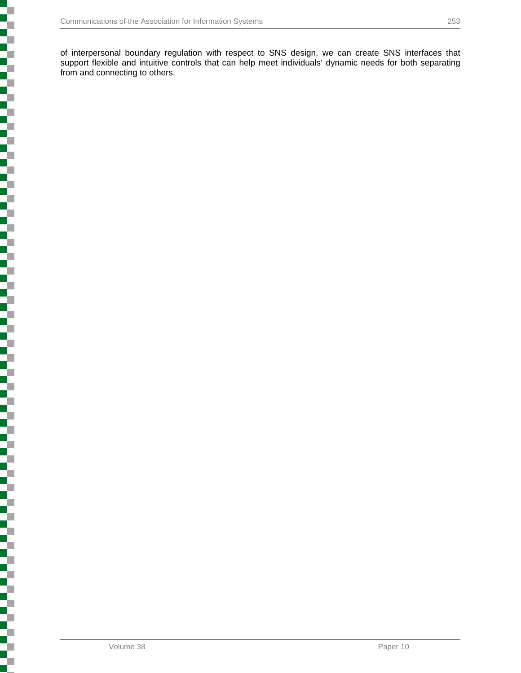of interpersonal boundary regulation with respect to SNS design, we can create SNS interfaces that support flexible and intuitive controls that can help meet individuals' dynamic needs for both separating from and connecting to others.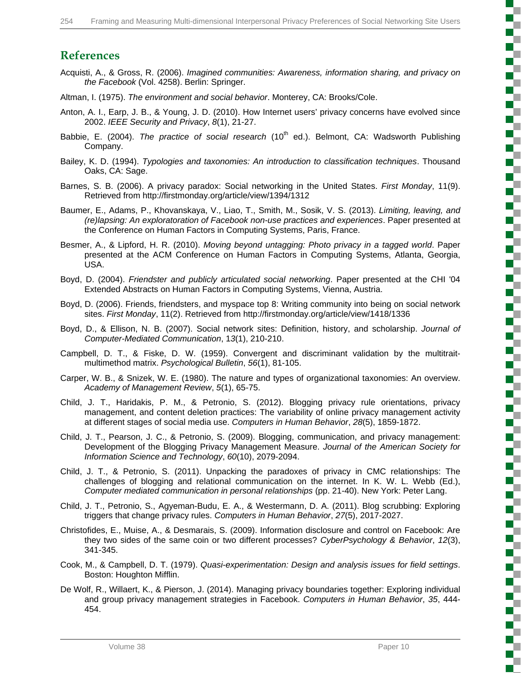# **References**

- Acquisti, A., & Gross, R. (2006). *Imagined communities: Awareness, information sharing, and privacy on the Facebook* (Vol. 4258). Berlin: Springer.
- Altman, I. (1975). *The environment and social behavior*. Monterey, CA: Brooks/Cole.
- Anton, A. I., Earp, J. B., & Young, J. D. (2010). How Internet users' privacy concerns have evolved since 2002. *IEEE Security and Privacy*, *8*(1), 21-27.
- Babbie, E. (2004). *The practice of social research* (10<sup>th</sup> ed.). Belmont, CA: Wadsworth Publishing Company.
- Bailey, K. D. (1994). *Typologies and taxonomies: An introduction to classification techniques*. Thousand Oaks, CA: Sage.
- Barnes, S. B. (2006). A privacy paradox: Social networking in the United States. *First Monday*, 11(9). Retrieved from http://firstmonday.org/article/view/1394/1312
- Baumer, E., Adams, P., Khovanskaya, V., Liao, T., Smith, M., Sosik, V. S. (2013). *Limiting, leaving, and (re)lapsing: An exploratoration of Facebook non-use practices and experiences*. Paper presented at the Conference on Human Factors in Computing Systems, Paris, France.
- Besmer, A., & Lipford, H. R. (2010). *Moving beyond untagging: Photo privacy in a tagged world*. Paper presented at the ACM Conference on Human Factors in Computing Systems, Atlanta, Georgia, USA.
- Boyd, D. (2004). *Friendster and publicly articulated social networking*. Paper presented at the CHI '04 Extended Abstracts on Human Factors in Computing Systems, Vienna, Austria.
- Boyd, D. (2006). Friends, friendsters, and myspace top 8: Writing community into being on social network sites. *First Monday*, 11(2). Retrieved from http://firstmonday.org/article/view/1418/1336
- Boyd, D., & Ellison, N. B. (2007). Social network sites: Definition, history, and scholarship. *Journal of Computer-Mediated Communication*, 1*3*(1), 210-210.
- Campbell, D. T., & Fiske, D. W. (1959). Convergent and discriminant validation by the multitraitmultimethod matrix. *Psychological Bulletin*, *56*(1), 81-105.
- Carper, W. B., & Snizek, W. E. (1980). The nature and types of organizational taxonomies: An overview. *Academy of Management Review*, *5*(1), 65-75.
- Child, J. T., Haridakis, P. M., & Petronio, S. (2012). Blogging privacy rule orientations, privacy management, and content deletion practices: The variability of online privacy management activity at different stages of social media use. *Computers in Human Behavior*, *28*(5), 1859-1872.
- Child, J. T., Pearson, J. C., & Petronio, S. (2009). Blogging, communication, and privacy management: Development of the Blogging Privacy Management Measure. *Journal of the American Society for Information Science and Technology*, *60*(10), 2079-2094.
- Child, J. T., & Petronio, S. (2011). Unpacking the paradoxes of privacy in CMC relationships: The challenges of blogging and relational communication on the internet. In K. W. L. Webb (Ed.), *Computer mediated communication in personal relationships* (pp. 21-40). New York: Peter Lang.
- Child, J. T., Petronio, S., Agyeman-Budu, E. A., & Westermann, D. A. (2011). Blog scrubbing: Exploring triggers that change privacy rules. *Computers in Human Behavior*, *27*(5), 2017-2027.
- Christofides, E., Muise, A., & Desmarais, S. (2009). Information disclosure and control on Facebook: Are they two sides of the same coin or two different processes? *CyberPsychology & Behavior*, *12*(3), 341-345.
- Cook, M., & Campbell, D. T. (1979). *Quasi-experimentation: Design and analysis issues for field settings*. Boston: Houghton Mifflin.
- De Wolf, R., Willaert, K., & Pierson, J. (2014). Managing privacy boundaries together: Exploring individual and group privacy management strategies in Facebook. *Computers in Human Behavior*, *35*, 444- 454.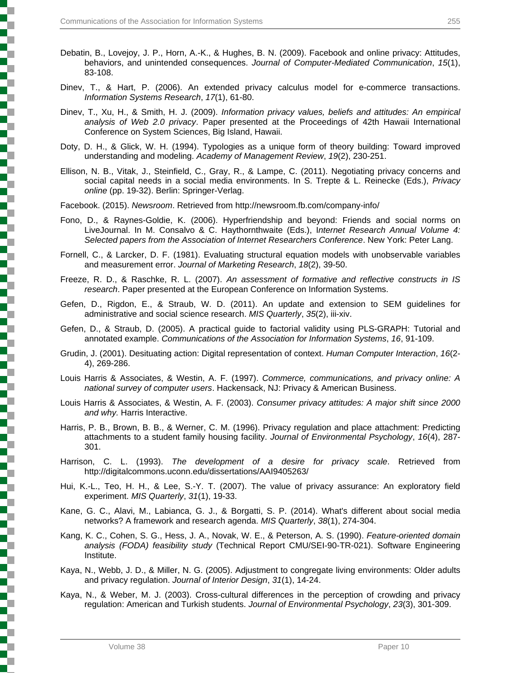- Debatin, B., Lovejoy, J. P., Horn, A.-K., & Hughes, B. N. (2009). Facebook and online privacy: Attitudes, behaviors, and unintended consequences. *Journal of Computer-Mediated Communication*, *15*(1), 83-108.
- Dinev, T., & Hart, P. (2006). An extended privacy calculus model for e-commerce transactions. *Information Systems Research*, *17*(1), 61-80.
- Dinev, T., Xu, H., & Smith, H. J. (2009). *Information privacy values, beliefs and attitudes: An empirical analysis of Web 2.0 privacy*. Paper presented at the Proceedings of 42th Hawaii International Conference on System Sciences, Big Island, Hawaii.
- Doty, D. H., & Glick, W. H. (1994). Typologies as a unique form of theory building: Toward improved understanding and modeling. *Academy of Management Review*, *19*(2), 230-251.
- Ellison, N. B., Vitak, J., Steinfield, C., Gray, R., & Lampe, C. (2011). Negotiating privacy concerns and social capital needs in a social media environments. In S. Trepte & L. Reinecke (Eds.), *Privacy online* (pp. 19-32). Berlin: Springer-Verlag.
- Facebook. (2015). *Newsroom*. Retrieved from http://newsroom.fb.com/company-info/
- Fono, D., & Raynes-Goldie, K. (2006). Hyperfriendship and beyond: Friends and social norms on LiveJournal. In M. Consalvo & C. Haythornthwaite (Eds.), I*nternet Research Annual Volume 4: Selected papers from the Association of Internet Researchers Conference*. New York: Peter Lang.
- Fornell, C., & Larcker, D. F. (1981). Evaluating structural equation models with unobservable variables and measurement error. *Journal of Marketing Research*, *18*(2), 39-50.
- Freeze, R. D., & Raschke, R. L. (2007). *An assessment of formative and reflective constructs in IS research*. Paper presented at the European Conference on Information Systems.
- Gefen, D., Rigdon, E., & Straub, W. D. (2011). An update and extension to SEM guidelines for administrative and social science research. *MIS Quarterly*, *35*(2), iii-xiv.
- Gefen, D., & Straub, D. (2005). A practical guide to factorial validity using PLS-GRAPH: Tutorial and annotated example. *Communications of the Association for Information Systems*, *16*, 91-109.
- Grudin, J. (2001). Desituating action: Digital representation of context. *Human Computer Interaction*, *16*(2- 4), 269-286.
- Louis Harris & Associates, & Westin, A. F. (1997). *Commerce, communications, and privacy online: A national survey of computer users*. Hackensack, NJ: Privacy & American Business.
- Louis Harris & Associates, & Westin, A. F. (2003). *Consumer privacy attitudes: A major shift since 2000 and why.* Harris Interactive.
- Harris, P. B., Brown, B. B., & Werner, C. M. (1996). Privacy regulation and place attachment: Predicting attachments to a student family housing facility. *Journal of Environmental Psychology*, *16*(4), 287- 301.
- Harrison, C. L. (1993). *The development of a desire for privacy scale*. Retrieved from http://digitalcommons.uconn.edu/dissertations/AAI9405263/
- Hui, K.-L., Teo, H. H., & Lee, S.-Y. T. (2007). The value of privacy assurance: An exploratory field experiment. *MIS Quarterly*, *31*(1), 19-33.
- Kane, G. C., Alavi, M., Labianca, G. J., & Borgatti, S. P. (2014). What's different about social media networks? A framework and research agenda. *MIS Quarterly*, *38*(1), 274-304.
- Kang, K. C., Cohen, S. G., Hess, J. A., Novak, W. E., & Peterson, A. S. (1990). *Feature-oriented domain analysis (FODA) feasibility study* (Technical Report CMU/SEI-90-TR-021). Software Engineering Institute.
- Kaya, N., Webb, J. D., & Miller, N. G. (2005). Adjustment to congregate living environments: Older adults and privacy regulation. *Journal of Interior Design*, *31*(1), 14-24.
- Kaya, N., & Weber, M. J. (2003). Cross-cultural differences in the perception of crowding and privacy regulation: American and Turkish students. *Journal of Environmental Psychology*, *23*(3), 301-309.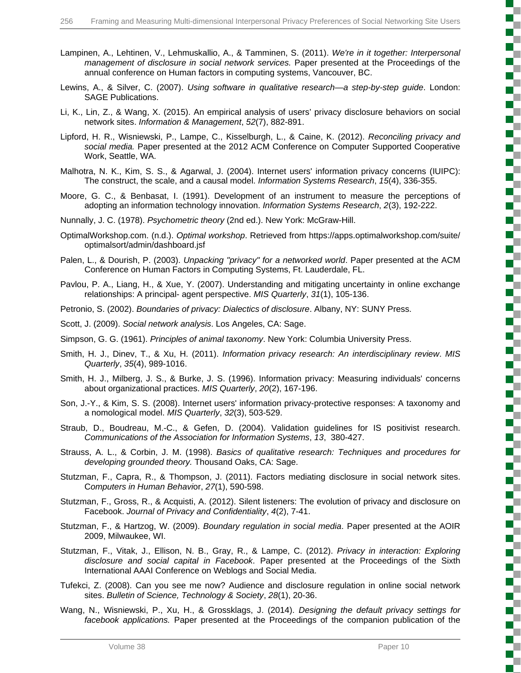- Lampinen, A., Lehtinen, V., Lehmuskallio, A., & Tamminen, S. (2011). *We're in it together: Interpersonal management of disclosure in social network services.* Paper presented at the Proceedings of the annual conference on Human factors in computing systems, Vancouver, BC.
- Lewins, A., & Silver, C. (2007). *Using software in qualitative research—a step-by-step guide*. London: SAGE Publications.
- Li, K., Lin, Z., & Wang, X. (2015). An empirical analysis of users' privacy disclosure behaviors on social network sites. *Information & Management*, *52*(7), 882-891.
- Lipford, H. R., Wisniewski, P., Lampe, C., Kisselburgh, L., & Caine, K. (2012). *Reconciling privacy and social media.* Paper presented at the 2012 ACM Conference on Computer Supported Cooperative Work, Seattle, WA.
- Malhotra, N. K., Kim, S. S., & Agarwal, J. (2004). Internet users' information privacy concerns (IUIPC): The construct, the scale, and a causal model. *Information Systems Research*, *15*(4), 336-355.
- Moore, G. C., & Benbasat, I. (1991). Development of an instrument to measure the perceptions of adopting an information technology innovation. *Information Systems Research*, *2*(3), 192-222.
- Nunnally, J. C. (1978). *Psychometric theory* (2nd ed.). New York: McGraw-Hill.
- OptimalWorkshop.com. (n.d.). *Optimal workshop*. Retrieved from https://apps.optimalworkshop.com/suite/ optimalsort/admin/dashboard.jsf
- Palen, L., & Dourish, P. (2003). *Unpacking "privacy" for a networked world*. Paper presented at the ACM Conference on Human Factors in Computing Systems, Ft. Lauderdale, FL.
- Pavlou, P. A., Liang, H., & Xue, Y. (2007). Understanding and mitigating uncertainty in online exchange relationships: A principal- agent perspective. *MIS Quarterly*, *31*(1), 105-136.
- Petronio, S. (2002). *Boundaries of privacy: Dialectics of disclosure*. Albany, NY: SUNY Press.
- Scott, J. (2009). *Social network analysis*. Los Angeles, CA: Sage.
- Simpson, G. G. (1961). *Principles of animal taxonomy*. New York: Columbia University Press.
- Smith, H. J., Dinev, T., & Xu, H. (2011). *Information privacy research: An interdisciplinary review*. *MIS Quarterly*, *35*(4), 989-1016.
- Smith, H. J., Milberg, J. S., & Burke, J. S. (1996). Information privacy: Measuring individuals' concerns about organizational practices. *MIS Quarterly*, *20*(2), 167-196.
- Son, J.-Y., & Kim, S. S. (2008). Internet users' information privacy-protective responses: A taxonomy and a nomological model. *MIS Quarterly*, *32*(3), 503-529.
- Straub, D., Boudreau, M.-C., & Gefen, D. (2004). Validation guidelines for IS positivist research. *Communications of the Association for Information Systems*, *13*, 380-427.
- Strauss, A. L., & Corbin, J. M. (1998). *Basics of qualitative research: Techniques and procedures for developing grounded theory.* Thousand Oaks, CA: Sage.
- Stutzman, F., Capra, R., & Thompson, J. (2011). Factors mediating disclosure in social network sites. C*omputers in Human Behavi*or, *27*(1), 590-598.
- Stutzman, F., Gross, R., & Acquisti, A. (2012). Silent listeners: The evolution of privacy and disclosure on Facebook. *Journal of Privacy and Confidentiality*, *4*(2), 7-41.
- Stutzman, F., & Hartzog, W. (2009). *Boundary regulation in social media*. Paper presented at the AOIR 2009, Milwaukee, WI.
- Stutzman, F., Vitak, J., Ellison, N. B., Gray, R., & Lampe, C. (2012). *Privacy in interaction: Exploring disclosure and social capital in Facebook*. Paper presented at the Proceedings of the Sixth International AAAI Conference on Weblogs and Social Media.
- Tufekci, Z. (2008). Can you see me now? Audience and disclosure regulation in online social network sites. *Bulletin of Science, Technology & Society*, *28*(1), 20-36.
- Wang, N., Wisniewski, P., Xu, H., & Grossklags, J. (2014). *Designing the default privacy settings for facebook applications.* Paper presented at the Proceedings of the companion publication of the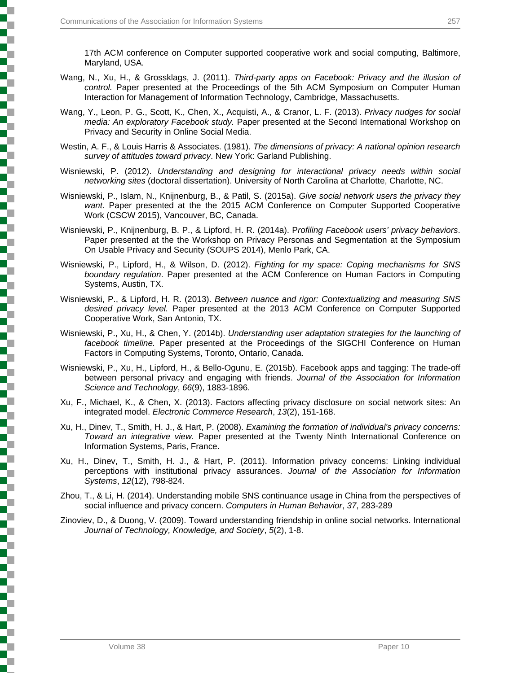17th ACM conference on Computer supported cooperative work and social computing, Baltimore, Maryland, USA.

- Wang, N., Xu, H., & Grossklags, J. (2011). *Third-party apps on Facebook: Privacy and the illusion of control.* Paper presented at the Proceedings of the 5th ACM Symposium on Computer Human Interaction for Management of Information Technology, Cambridge, Massachusetts.
- Wang, Y., Leon, P. G., Scott, K., Chen, X., Acquisti, A., & Cranor, L. F. (2013). *Privacy nudges for social media: An exploratory Facebook study.* Paper presented at the Second International Workshop on Privacy and Security in Online Social Media.
- Westin, A. F., & Louis Harris & Associates. (1981). *The dimensions of privacy: A national opinion research survey of attitudes toward privacy*. New York: Garland Publishing.
- Wisniewski, P. (2012). *Understanding and designing for interactional privacy needs within social networking sites* (doctoral dissertation). University of North Carolina at Charlotte, Charlotte, NC.
- Wisniewski, P., Islam, N., Knijnenburg, B., & Patil, S. (2015a). *Give social network users the privacy they want.* Paper presented at the the 2015 ACM Conference on Computer Supported Cooperative Work (CSCW 2015), Vancouver, BC, Canada.
- Wisniewski, P., Knijnenburg, B. P., & Lipford, H. R. (2014a). P*rofiling Facebook users' privacy behaviors*. Paper presented at the the Workshop on Privacy Personas and Segmentation at the Symposium On Usable Privacy and Security (SOUPS 2014), Menlo Park, CA.
- Wisniewski, P., Lipford, H., & Wilson, D. (2012). *Fighting for my space: Coping mechanisms for SNS boundary regulation*. Paper presented at the ACM Conference on Human Factors in Computing Systems, Austin, TX.
- Wisniewski, P., & Lipford, H. R. (2013). *Between nuance and rigor: Contextualizing and measuring SNS desired privacy level.* Paper presented at the 2013 ACM Conference on Computer Supported Cooperative Work, San Antonio, TX.
- Wisniewski, P., Xu, H., & Chen, Y. (2014b). *Understanding user adaptation strategies for the launching of facebook timeline.* Paper presented at the Proceedings of the SIGCHI Conference on Human Factors in Computing Systems, Toronto, Ontario, Canada.
- Wisniewski, P., Xu, H., Lipford, H., & Bello-Ogunu, E. (2015b). Facebook apps and tagging: The trade-off between personal privacy and engaging with friends. *Journal of the Association for Information Science and Technology*, *66*(9), 1883-1896.
- Xu, F., Michael, K., & Chen, X. (2013). Factors affecting privacy disclosure on social network sites: An integrated model. *Electronic Commerce Research*, *13*(2), 151-168.
- Xu, H., Dinev, T., Smith, H. J., & Hart, P. (2008). *Examining the formation of individual's privacy concerns: Toward an integrative view.* Paper presented at the Twenty Ninth International Conference on Information Systems, Paris, France.
- Xu, H., Dinev, T., Smith, H. J., & Hart, P. (2011). Information privacy concerns: Linking individual perceptions with institutional privacy assurances. *Journal of the Association for Information Systems*, *12*(12), 798-824.
- Zhou, T., & Li, H. (2014). Understanding mobile SNS continuance usage in China from the perspectives of social influence and privacy concern. *Computers in Human Behavior*, *37*, 283-289
- Zinoviev, D., & Duong, V. (2009). Toward understanding friendship in online social networks. International *Journal of Technology, Knowledge, and Society*, *5*(2), 1-8.